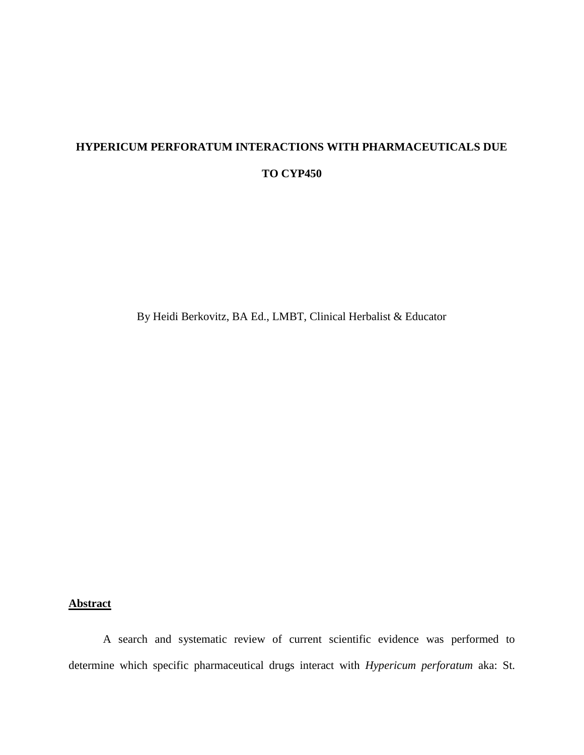# **HYPERICUM PERFORATUM INTERACTIONS WITH PHARMACEUTICALS DUE TO CYP450**

By Heidi Berkovitz, BA Ed., LMBT, Clinical Herbalist & Educator

# **Abstract**

A search and systematic review of current scientific evidence was performed to determine which specific pharmaceutical drugs interact with *Hypericum perforatum* aka: St.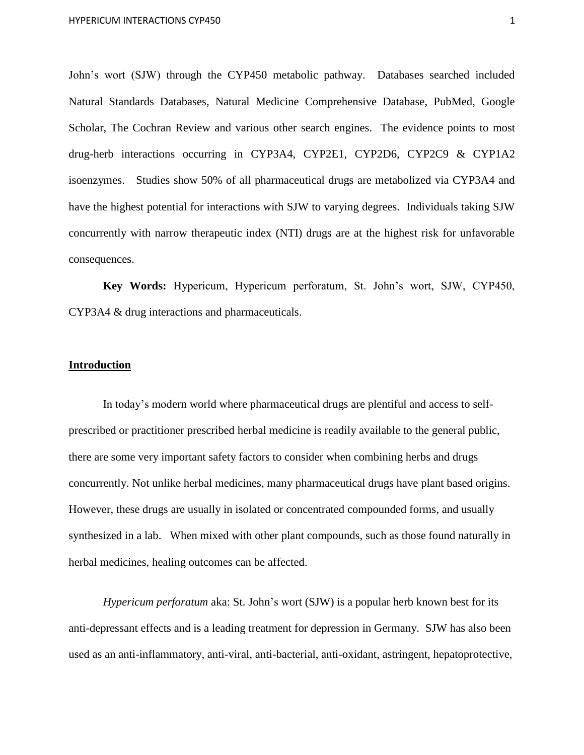John's wort (SJW) through the CYP450 metabolic pathway. Databases searched included Natural Standards Databases, Natural Medicine Comprehensive Database, PubMed, Google Scholar, The Cochran Review and various other search engines. The evidence points to most drug-herb interactions occurring in CYP3A4, CYP2E1, CYP2D6, CYP2C9 & CYP1A2 isoenzymes. Studies show 50% of all pharmaceutical drugs are metabolized via CYP3A4 and have the highest potential for interactions with SJW to varying degrees. Individuals taking SJW concurrently with narrow therapeutic index (NTI) drugs are at the highest risk for unfavorable consequences.

**Key Words:** Hypericum, Hypericum perforatum, St. John's wort, SJW, CYP450, CYP3A4 & drug interactions and pharmaceuticals.

#### **Introduction**

In today's modern world where pharmaceutical drugs are plentiful and access to selfprescribed or practitioner prescribed herbal medicine is readily available to the general public, there are some very important safety factors to consider when combining herbs and drugs concurrently. Not unlike herbal medicines, many pharmaceutical drugs have plant based origins. However, these drugs are usually in isolated or concentrated compounded forms, and usually synthesized in a lab. When mixed with other plant compounds, such as those found naturally in herbal medicines, healing outcomes can be affected.

*Hypericum perforatum* aka: St. John's wort (SJW) is a popular herb known best for its anti-depressant effects and is a leading treatment for depression in Germany. SJW has also been used as an anti-inflammatory, anti-viral, anti-bacterial, anti-oxidant, astringent, hepatoprotective,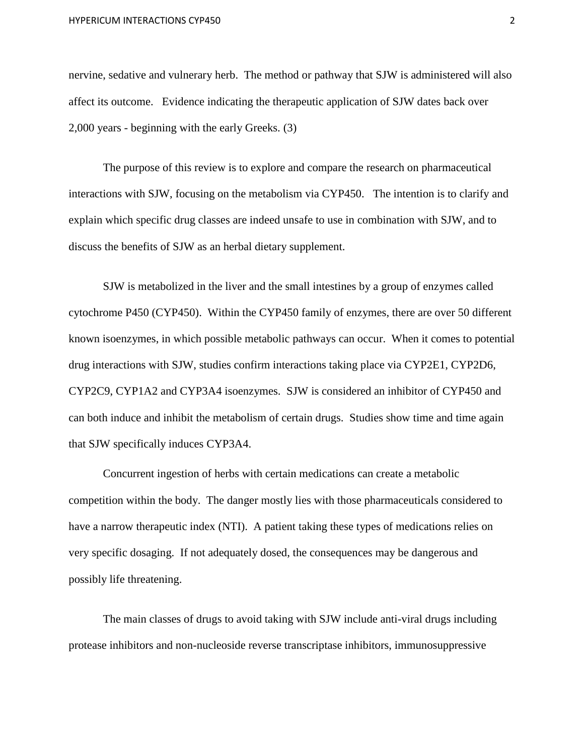nervine, sedative and vulnerary herb. The method or pathway that SJW is administered will also affect its outcome. Evidence indicating the therapeutic application of SJW dates back over 2,000 years - beginning with the early Greeks. (3)

The purpose of this review is to explore and compare the research on pharmaceutical interactions with SJW, focusing on the metabolism via CYP450. The intention is to clarify and explain which specific drug classes are indeed unsafe to use in combination with SJW, and to discuss the benefits of SJW as an herbal dietary supplement.

SJW is metabolized in the liver and the small intestines by a group of enzymes called cytochrome P450 (CYP450). Within the CYP450 family of enzymes, there are over 50 different known isoenzymes, in which possible metabolic pathways can occur. When it comes to potential drug interactions with SJW, studies confirm interactions taking place via CYP2E1, CYP2D6, CYP2C9, CYP1A2 and CYP3A4 isoenzymes. SJW is considered an inhibitor of CYP450 and can both induce and inhibit the metabolism of certain drugs. Studies show time and time again that SJW specifically induces CYP3A4.

Concurrent ingestion of herbs with certain medications can create a metabolic competition within the body. The danger mostly lies with those pharmaceuticals considered to have a narrow therapeutic index (NTI). A patient taking these types of medications relies on very specific dosaging. If not adequately dosed, the consequences may be dangerous and possibly life threatening.

The main classes of drugs to avoid taking with SJW include anti-viral drugs including protease inhibitors and non-nucleoside reverse transcriptase inhibitors, immunosuppressive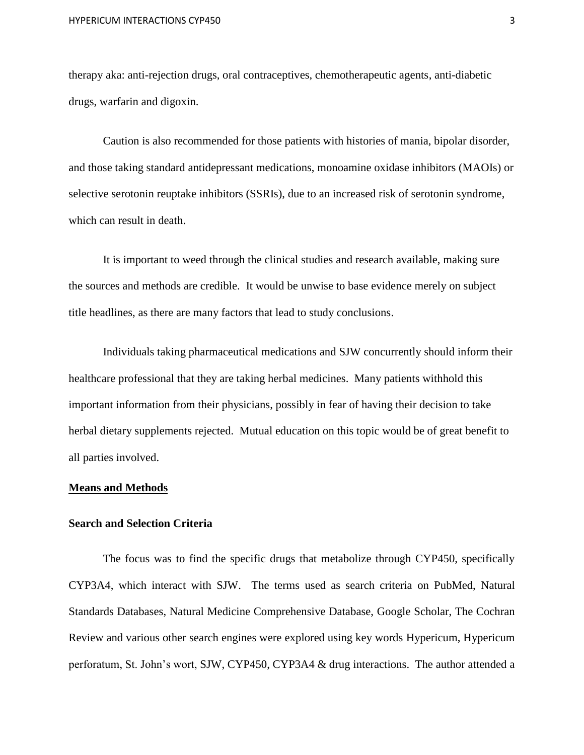therapy aka: anti-rejection drugs, oral contraceptives, chemotherapeutic agents, anti-diabetic drugs, warfarin and digoxin.

Caution is also recommended for those patients with histories of mania, bipolar disorder, and those taking standard antidepressant medications, monoamine oxidase inhibitors (MAOIs) or selective serotonin reuptake inhibitors (SSRIs), due to an increased risk of serotonin syndrome, which can result in death.

It is important to weed through the clinical studies and research available, making sure the sources and methods are credible. It would be unwise to base evidence merely on subject title headlines, as there are many factors that lead to study conclusions.

Individuals taking pharmaceutical medications and SJW concurrently should inform their healthcare professional that they are taking herbal medicines. Many patients withhold this important information from their physicians, possibly in fear of having their decision to take herbal dietary supplements rejected. Mutual education on this topic would be of great benefit to all parties involved.

#### **Means and Methods**

#### **Search and Selection Criteria**

The focus was to find the specific drugs that metabolize through CYP450, specifically CYP3A4, which interact with SJW. The terms used as search criteria on PubMed, Natural Standards Databases, Natural Medicine Comprehensive Database, Google Scholar, The Cochran Review and various other search engines were explored using key words Hypericum, Hypericum perforatum, St. John's wort, SJW, CYP450, CYP3A4 & drug interactions. The author attended a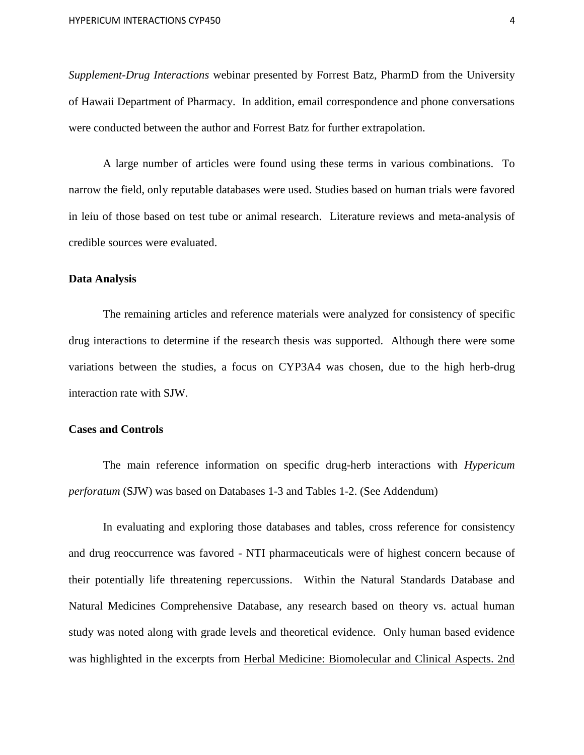*Supplement-Drug Interactions* webinar presented by Forrest Batz, PharmD from the University of Hawaii Department of Pharmacy. In addition, email correspondence and phone conversations were conducted between the author and Forrest Batz for further extrapolation.

A large number of articles were found using these terms in various combinations. To narrow the field, only reputable databases were used. Studies based on human trials were favored in leiu of those based on test tube or animal research. Literature reviews and meta-analysis of credible sources were evaluated.

#### **Data Analysis**

The remaining articles and reference materials were analyzed for consistency of specific drug interactions to determine if the research thesis was supported. Although there were some variations between the studies, a focus on CYP3A4 was chosen, due to the high herb-drug interaction rate with SJW.

#### **Cases and Controls**

The main reference information on specific drug-herb interactions with *Hypericum perforatum* (SJW) was based on Databases 1-3 and Tables 1-2. (See Addendum)

In evaluating and exploring those databases and tables, cross reference for consistency and drug reoccurrence was favored - NTI pharmaceuticals were of highest concern because of their potentially life threatening repercussions. Within the Natural Standards Database and Natural Medicines Comprehensive Database, any research based on theory vs. actual human study was noted along with grade levels and theoretical evidence. Only human based evidence was highlighted in the excerpts from Herbal Medicine: Biomolecular and Clinical Aspects. 2nd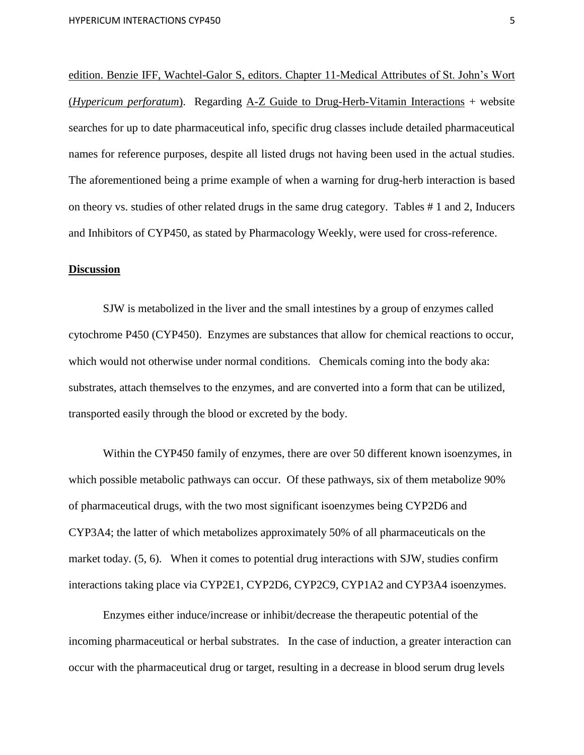edition. Benzie IFF, Wachtel-Galor S, editors. Chapter 11-Medical Attributes of St. John's Wort (*Hypericum perforatum*). Regarding A-Z Guide to Drug-Herb-Vitamin Interactions + website searches for up to date pharmaceutical info, specific drug classes include detailed pharmaceutical names for reference purposes, despite all listed drugs not having been used in the actual studies. The aforementioned being a prime example of when a warning for drug-herb interaction is based on theory vs. studies of other related drugs in the same drug category. Tables # 1 and 2, Inducers and Inhibitors of CYP450, as stated by Pharmacology Weekly, were used for cross-reference.

#### **Discussion**

SJW is metabolized in the liver and the small intestines by a group of enzymes called cytochrome P450 (CYP450). Enzymes are substances that allow for chemical reactions to occur, which would not otherwise under normal conditions. Chemicals coming into the body aka: substrates, attach themselves to the enzymes, and are converted into a form that can be utilized, transported easily through the blood or excreted by the body.

Within the CYP450 family of enzymes, there are over 50 different known isoenzymes, in which possible metabolic pathways can occur. Of these pathways, six of them metabolize 90% of pharmaceutical drugs, with the two most significant isoenzymes being CYP2D6 and CYP3A4; the latter of which metabolizes approximately 50% of all pharmaceuticals on the market today. (5, 6). When it comes to potential drug interactions with SJW, studies confirm interactions taking place via CYP2E1, CYP2D6, CYP2C9, CYP1A2 and CYP3A4 isoenzymes.

Enzymes either induce/increase or inhibit/decrease the therapeutic potential of the incoming pharmaceutical or herbal substrates. In the case of induction, a greater interaction can occur with the pharmaceutical drug or target, resulting in a decrease in blood serum drug levels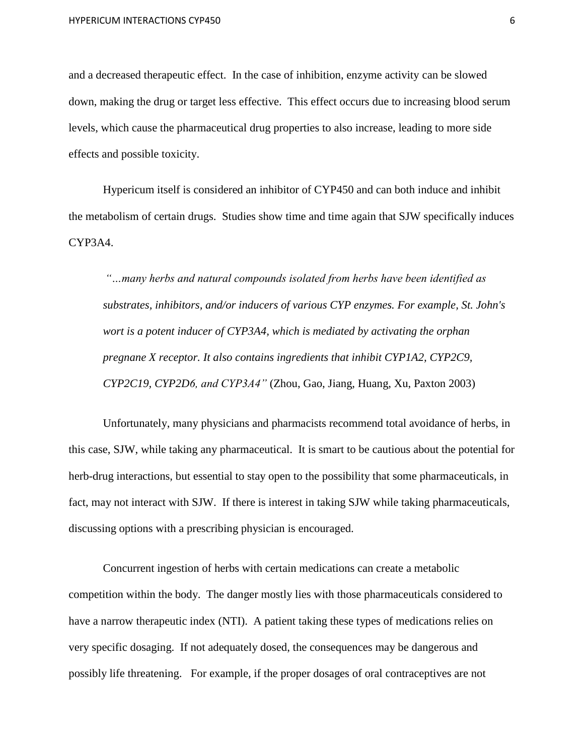and a decreased therapeutic effect. In the case of inhibition, enzyme activity can be slowed down, making the drug or target less effective. This effect occurs due to increasing blood serum levels, which cause the pharmaceutical drug properties to also increase, leading to more side effects and possible toxicity.

Hypericum itself is considered an inhibitor of CYP450 and can both induce and inhibit the metabolism of certain drugs. Studies show time and time again that SJW specifically induces CYP3A4.

*"…many herbs and natural compounds isolated from herbs have been identified as substrates, inhibitors, and/or inducers of various CYP enzymes. For example, St. John's wort is a potent inducer of CYP3A4, which is mediated by activating the orphan pregnane X receptor. It also contains ingredients that inhibit CYP1A2, CYP2C9, CYP2C19, CYP2D6, and CYP3A4"* (Zhou, Gao, Jiang, Huang, Xu, Paxton 2003)

Unfortunately, many physicians and pharmacists recommend total avoidance of herbs, in this case, SJW, while taking any pharmaceutical. It is smart to be cautious about the potential for herb-drug interactions, but essential to stay open to the possibility that some pharmaceuticals, in fact, may not interact with SJW. If there is interest in taking SJW while taking pharmaceuticals, discussing options with a prescribing physician is encouraged.

Concurrent ingestion of herbs with certain medications can create a metabolic competition within the body. The danger mostly lies with those pharmaceuticals considered to have a narrow therapeutic index (NTI). A patient taking these types of medications relies on very specific dosaging. If not adequately dosed, the consequences may be dangerous and possibly life threatening. For example, if the proper dosages of oral contraceptives are not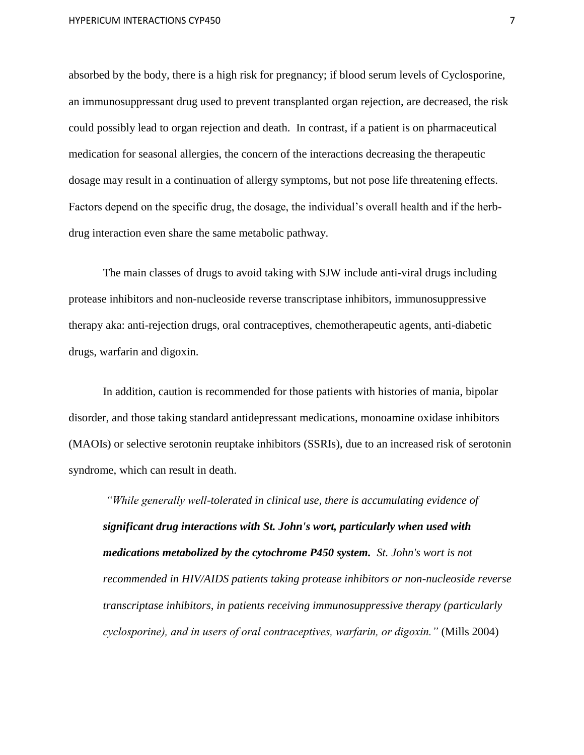absorbed by the body, there is a high risk for pregnancy; if blood serum levels of Cyclosporine, an immunosuppressant drug used to prevent transplanted organ rejection, are decreased, the risk could possibly lead to organ rejection and death. In contrast, if a patient is on pharmaceutical medication for seasonal allergies, the concern of the interactions decreasing the therapeutic dosage may result in a continuation of allergy symptoms, but not pose life threatening effects. Factors depend on the specific drug, the dosage, the individual's overall health and if the herbdrug interaction even share the same metabolic pathway.

The main classes of drugs to avoid taking with SJW include anti-viral drugs including protease inhibitors and non-nucleoside reverse transcriptase inhibitors, immunosuppressive therapy aka: anti-rejection drugs, oral contraceptives, chemotherapeutic agents, anti-diabetic drugs, warfarin and digoxin.

In addition, caution is recommended for those patients with histories of mania, bipolar disorder, and those taking standard antidepressant medications, monoamine oxidase inhibitors (MAOIs) or selective serotonin reuptake inhibitors (SSRIs), due to an increased risk of serotonin syndrome, which can result in death.

*"While generally well-tolerated in clinical use, there is accumulating evidence of significant drug interactions with St. John's wort, particularly when used with medications metabolized by the cytochrome P450 system. St. John's wort is not recommended in HIV/AIDS patients taking protease inhibitors or non-nucleoside reverse transcriptase inhibitors, in patients receiving immunosuppressive therapy (particularly cyclosporine), and in users of oral contraceptives, warfarin, or digoxin."* (Mills 2004)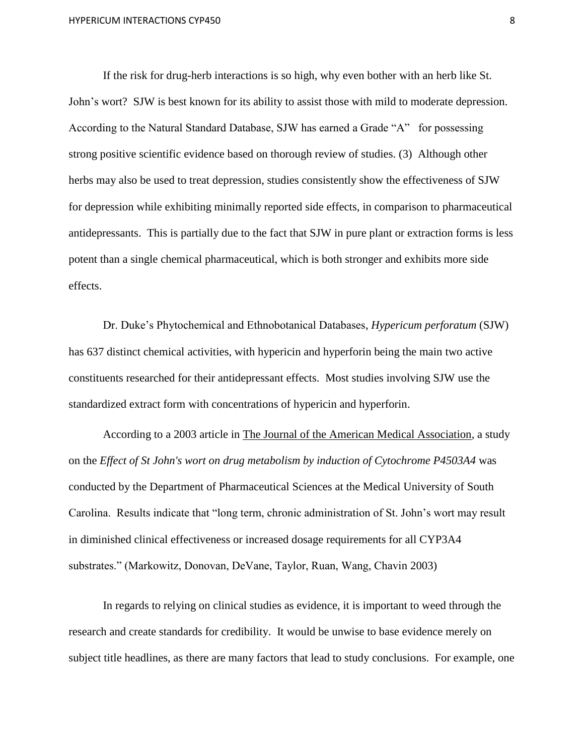If the risk for drug-herb interactions is so high, why even bother with an herb like St. John's wort? SJW is best known for its ability to assist those with mild to moderate depression. According to the Natural Standard Database, SJW has earned a Grade "A" for possessing strong positive scientific evidence based on thorough review of studies. (3) Although other herbs may also be used to treat depression, studies consistently show the effectiveness of SJW for depression while exhibiting minimally reported side effects, in comparison to pharmaceutical antidepressants. This is partially due to the fact that SJW in pure plant or extraction forms is less potent than a single chemical pharmaceutical, which is both stronger and exhibits more side effects.

Dr. Duke's Phytochemical and Ethnobotanical Databases, *Hypericum perforatum* (SJW) has 637 distinct chemical activities, with hypericin and hyperforin being the main two active constituents researched for their antidepressant effects. Most studies involving SJW use the standardized extract form with concentrations of hypericin and hyperforin.

According to a 2003 article in The Journal of the American Medical Association, a study on the *Effect of St John's wort on drug metabolism by induction of Cytochrome P4503A4* was conducted by the Department of Pharmaceutical Sciences at the Medical University of South Carolina. Results indicate that "long term, chronic administration of St. John's wort may result in diminished clinical effectiveness or increased dosage requirements for all CYP3A4 substrates." (Markowitz, Donovan, DeVane, Taylor, Ruan, Wang, Chavin 2003)

In regards to relying on clinical studies as evidence, it is important to weed through the research and create standards for credibility. It would be unwise to base evidence merely on subject title headlines, as there are many factors that lead to study conclusions. For example, one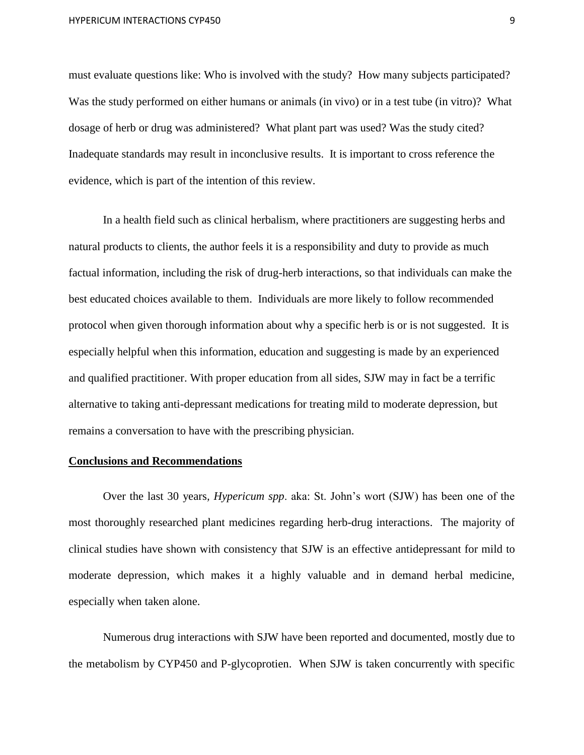HYPERICUM INTERACTIONS CYP450 9

must evaluate questions like: Who is involved with the study? How many subjects participated? Was the study performed on either humans or animals (in vivo) or in a test tube (in vitro)? What dosage of herb or drug was administered? What plant part was used? Was the study cited? Inadequate standards may result in inconclusive results. It is important to cross reference the evidence, which is part of the intention of this review.

In a health field such as clinical herbalism, where practitioners are suggesting herbs and natural products to clients, the author feels it is a responsibility and duty to provide as much factual information, including the risk of drug-herb interactions, so that individuals can make the best educated choices available to them. Individuals are more likely to follow recommended protocol when given thorough information about why a specific herb is or is not suggested. It is especially helpful when this information, education and suggesting is made by an experienced and qualified practitioner. With proper education from all sides, SJW may in fact be a terrific alternative to taking anti-depressant medications for treating mild to moderate depression, but remains a conversation to have with the prescribing physician.

#### **Conclusions and Recommendations**

Over the last 30 years*, Hypericum spp*. aka: St. John's wort (SJW) has been one of the most thoroughly researched plant medicines regarding herb-drug interactions. The majority of clinical studies have shown with consistency that SJW is an effective antidepressant for mild to moderate depression, which makes it a highly valuable and in demand herbal medicine, especially when taken alone.

Numerous drug interactions with SJW have been reported and documented, mostly due to the metabolism by CYP450 and P-glycoprotien. When SJW is taken concurrently with specific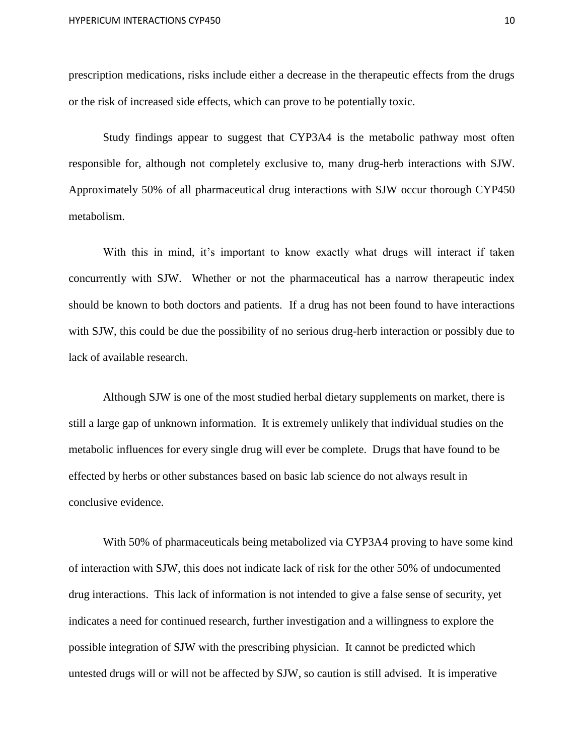prescription medications, risks include either a decrease in the therapeutic effects from the drugs or the risk of increased side effects, which can prove to be potentially toxic.

Study findings appear to suggest that CYP3A4 is the metabolic pathway most often responsible for, although not completely exclusive to, many drug-herb interactions with SJW. Approximately 50% of all pharmaceutical drug interactions with SJW occur thorough CYP450 metabolism.

With this in mind, it's important to know exactly what drugs will interact if taken concurrently with SJW. Whether or not the pharmaceutical has a narrow therapeutic index should be known to both doctors and patients. If a drug has not been found to have interactions with SJW, this could be due the possibility of no serious drug-herb interaction or possibly due to lack of available research.

Although SJW is one of the most studied herbal dietary supplements on market, there is still a large gap of unknown information. It is extremely unlikely that individual studies on the metabolic influences for every single drug will ever be complete. Drugs that have found to be effected by herbs or other substances based on basic lab science do not always result in conclusive evidence.

With 50% of pharmaceuticals being metabolized via CYP3A4 proving to have some kind of interaction with SJW, this does not indicate lack of risk for the other 50% of undocumented drug interactions. This lack of information is not intended to give a false sense of security, yet indicates a need for continued research, further investigation and a willingness to explore the possible integration of SJW with the prescribing physician. It cannot be predicted which untested drugs will or will not be affected by SJW, so caution is still advised. It is imperative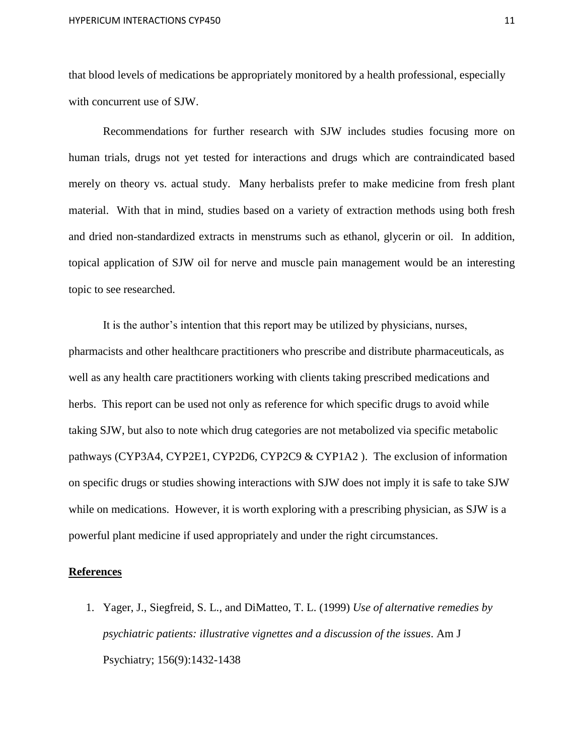that blood levels of medications be appropriately monitored by a health professional, especially with concurrent use of SJW.

Recommendations for further research with SJW includes studies focusing more on human trials, drugs not yet tested for interactions and drugs which are contraindicated based merely on theory vs. actual study. Many herbalists prefer to make medicine from fresh plant material. With that in mind, studies based on a variety of extraction methods using both fresh and dried non-standardized extracts in menstrums such as ethanol, glycerin or oil. In addition, topical application of SJW oil for nerve and muscle pain management would be an interesting topic to see researched.

It is the author's intention that this report may be utilized by physicians, nurses, pharmacists and other healthcare practitioners who prescribe and distribute pharmaceuticals, as well as any health care practitioners working with clients taking prescribed medications and herbs. This report can be used not only as reference for which specific drugs to avoid while taking SJW, but also to note which drug categories are not metabolized via specific metabolic pathways (CYP3A4, CYP2E1, CYP2D6, CYP2C9 & CYP1A2 ). The exclusion of information on specific drugs or studies showing interactions with SJW does not imply it is safe to take SJW while on medications. However, it is worth exploring with a prescribing physician, as SJW is a powerful plant medicine if used appropriately and under the right circumstances.

#### **References**

1. Yager, J., Siegfreid, S. L., and DiMatteo, T. L. (1999) *Use of alternative remedies by psychiatric patients: illustrative vignettes and a discussion of the issues*. Am J Psychiatry; 156(9):1432-1438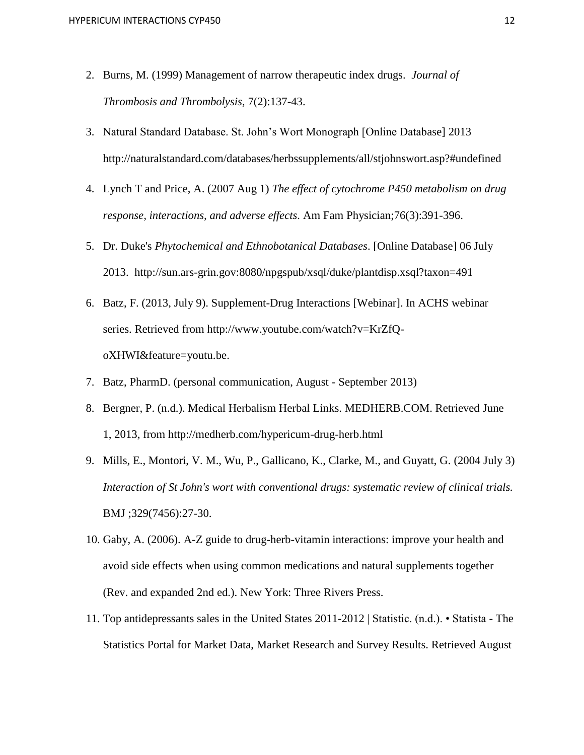- 2. Burns, M. (1999) Management of narrow therapeutic index drugs. *Journal of Thrombosis and Thrombolysis,* 7(2):137-43.
- 3. Natural Standard Database. St. John's Wort Monograph [Online Database] 2013 http://naturalstandard.com/databases/herbssupplements/all/stjohnswort.asp?#undefined
- 4. Lynch T and Price, A. (2007 Aug 1) *The effect of cytochrome P450 metabolism on drug response, interactions, and adverse effects.* Am Fam Physician;76(3):391-396.
- 5. Dr. Duke's *Phytochemical and Ethnobotanical Databases*. [Online Database] 06 July 2013. http://sun.ars-grin.gov:8080/npgspub/xsql/duke/plantdisp.xsql?taxon=491
- 6. Batz, F. (2013, July 9). Supplement-Drug Interactions [Webinar]. In ACHS webinar series. Retrieved from http://www.youtube.com/watch?v=KrZfQoXHWI&feature=youtu.be.
- 7. Batz, PharmD. (personal communication, August September 2013)
- 8. Bergner, P. (n.d.). Medical Herbalism Herbal Links. MEDHERB.COM. Retrieved June 1, 2013, from http://medherb.com/hypericum-drug-herb.html
- 9. Mills, E., Montori, V. M., Wu, P., Gallicano, K., Clarke, M., and Guyatt, G. (2004 July 3) *Interaction of St John's wort with conventional drugs: systematic review of clinical trials.* BMJ ;329(7456):27-30.
- 10. Gaby, A. (2006). A-Z guide to drug-herb-vitamin interactions: improve your health and avoid side effects when using common medications and natural supplements together (Rev. and expanded 2nd ed.). New York: Three Rivers Press.
- 11. Top antidepressants sales in the United States 2011-2012 | Statistic. (n.d.). Statista The Statistics Portal for Market Data, Market Research and Survey Results. Retrieved August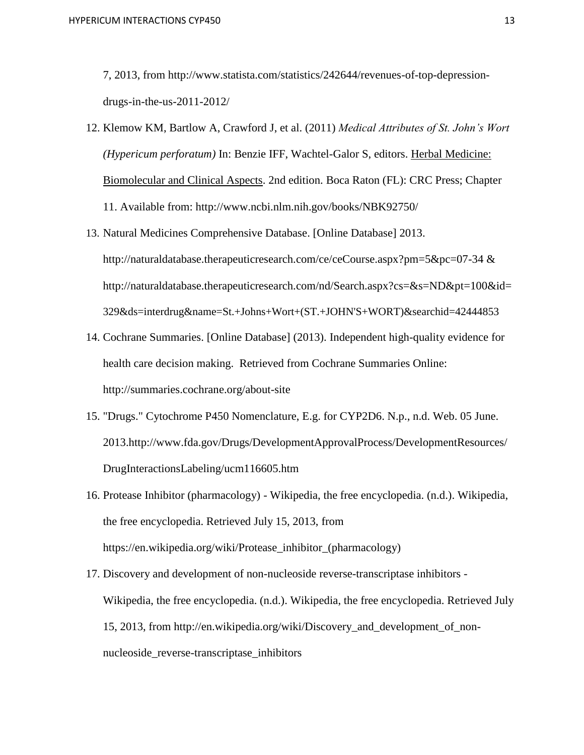7, 2013, from http://www.statista.com/statistics/242644/revenues-of-top-depressiondrugs-in-the-us-2011-2012/

- 12. Klemow KM, Bartlow A, Crawford J, et al. (2011) *Medical Attributes of St. John's Wort (Hypericum perforatum)* In: Benzie IFF, Wachtel-Galor S, editors. Herbal Medicine: Biomolecular and Clinical Aspects. 2nd edition. Boca Raton (FL): CRC Press; Chapter 11. Available from: http://www.ncbi.nlm.nih.gov/books/NBK92750/
- 13. Natural Medicines Comprehensive Database. [Online Database] 2013. http://naturaldatabase.therapeuticresearch.com/ce/ceCourse.aspx?pm=5&pc=07-34 & http://naturaldatabase.therapeuticresearch.com/nd/Search.aspx?cs=&s=ND&pt=100&id= 329&ds=interdrug&name=St.+Johns+Wort+(ST.+JOHN'S+WORT)&searchid=42444853
- 14. Cochrane Summaries. [Online Database] (2013). Independent high-quality evidence for health care decision making. Retrieved from Cochrane Summaries Online: http://summaries.cochrane.org/about-site
- 15. "Drugs." Cytochrome P450 Nomenclature, E.g. for CYP2D6. N.p., n.d. Web. 05 June. 2013.http://www.fda.gov/Drugs/DevelopmentApprovalProcess/DevelopmentResources/ DrugInteractionsLabeling/ucm116605.htm
- 16. Protease Inhibitor (pharmacology) Wikipedia, the free encyclopedia. (n.d.). Wikipedia, the free encyclopedia. Retrieved July 15, 2013, from https://en.wikipedia.org/wiki/Protease\_inhibitor\_(pharmacology)
- 17. Discovery and development of non-nucleoside reverse-transcriptase inhibitors Wikipedia, the free encyclopedia. (n.d.). Wikipedia, the free encyclopedia. Retrieved July 15, 2013, from http://en.wikipedia.org/wiki/Discovery\_and\_development\_of\_nonnucleoside\_reverse-transcriptase\_inhibitors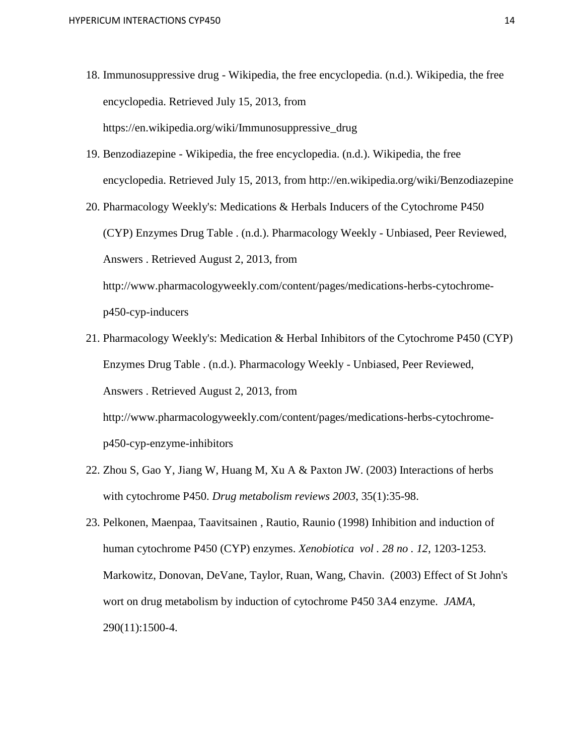- 18. Immunosuppressive drug Wikipedia, the free encyclopedia. (n.d.). Wikipedia, the free encyclopedia. Retrieved July 15, 2013, from https://en.wikipedia.org/wiki/Immunosuppressive\_drug
- 19. Benzodiazepine Wikipedia, the free encyclopedia. (n.d.). Wikipedia, the free encyclopedia. Retrieved July 15, 2013, from http://en.wikipedia.org/wiki/Benzodiazepine
- 20. Pharmacology Weekly's: Medications & Herbals Inducers of the Cytochrome P450 (CYP) Enzymes Drug Table . (n.d.). Pharmacology Weekly - Unbiased, Peer Reviewed, Answers . Retrieved August 2, 2013, from http://www.pharmacologyweekly.com/content/pages/medications-herbs-cytochromep450-cyp-inducers
- 21. Pharmacology Weekly's: Medication & Herbal Inhibitors of the Cytochrome P450 (CYP) Enzymes Drug Table . (n.d.). Pharmacology Weekly - Unbiased, Peer Reviewed, Answers . Retrieved August 2, 2013, from http://www.pharmacologyweekly.com/content/pages/medications-herbs-cytochrome-

p450-cyp-enzyme-inhibitors

- 22. Zhou S, Gao Y, Jiang W, Huang M, Xu A & Paxton JW. (2003) Interactions of herbs with cytochrome P450. *Drug metabolism reviews 2003*, 35(1):35-98.
- 23. Pelkonen, Maenpaa, Taavitsainen , Rautio, Raunio (1998) Inhibition and induction of human cytochrome P450 (CYP) enzymes. *Xenobiotica vol . 28 no . 12*, 1203-1253. Markowitz, Donovan, DeVane, Taylor, Ruan, Wang, Chavin. (2003) Effect of St John's wort on drug metabolism by induction of cytochrome P450 3A4 enzyme. *JAMA,* 290(11):1500-4.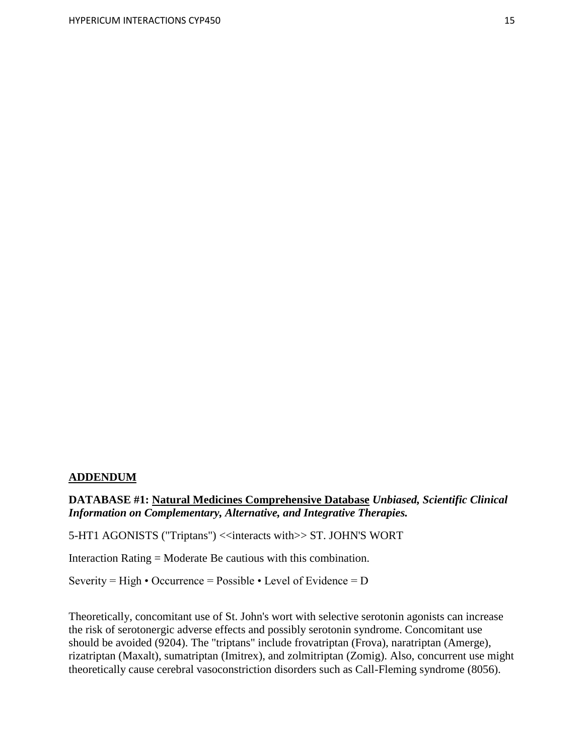#### **ADDENDUM**

### **DATABASE #1: Natural Medicines Comprehensive Database** *Unbiased, Scientific Clinical Information on Complementary, Alternative, and Integrative Therapies.*

5-HT1 AGONISTS ("Triptans") <<interacts with>> ST. JOHN'S WORT

Interaction Rating = Moderate Be cautious with this combination.

Severity = High • Occurrence = Possible • Level of Evidence =  $D$ 

Theoretically, concomitant use of St. John's wort with selective serotonin agonists can increase the risk of serotonergic adverse effects and possibly serotonin syndrome. Concomitant use should be avoided (9204). The "triptans" include frovatriptan (Frova), naratriptan (Amerge), rizatriptan (Maxalt), sumatriptan (Imitrex), and zolmitriptan (Zomig). Also, concurrent use might theoretically cause cerebral vasoconstriction disorders such as Call-Fleming syndrome (8056).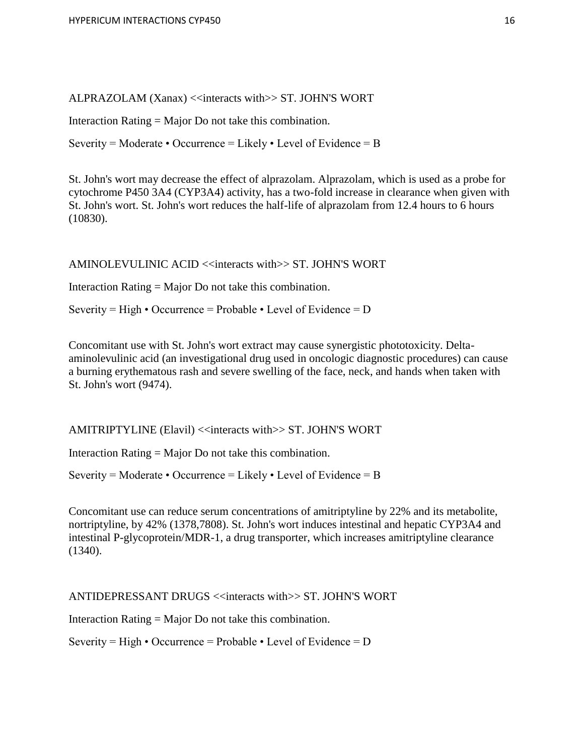ALPRAZOLAM (Xanax) << interacts with >> ST. JOHN'S WORT

Interaction Rating = Major Do not take this combination.

Severity = Moderate • Occurrence = Likely • Level of Evidence = B

St. John's wort may decrease the effect of alprazolam. Alprazolam, which is used as a probe for cytochrome P450 3A4 (CYP3A4) activity, has a two-fold increase in clearance when given with St. John's wort. St. John's wort reduces the half-life of alprazolam from 12.4 hours to 6 hours (10830).

AMINOLEVULINIC ACID <<interacts with>> ST. JOHN'S WORT

Interaction Rating = Major Do not take this combination.

Severity = High • Occurrence = Probable • Level of Evidence =  $D$ 

Concomitant use with St. John's wort extract may cause synergistic phototoxicity. Deltaaminolevulinic acid (an investigational drug used in oncologic diagnostic procedures) can cause a burning erythematous rash and severe swelling of the face, neck, and hands when taken with St. John's wort (9474).

AMITRIPTYLINE (Elavil) <<interacts with>> ST. JOHN'S WORT

Interaction Rating = Major Do not take this combination.

Severity = Moderate  $\cdot$  Occurrence = Likely  $\cdot$  Level of Evidence = B

Concomitant use can reduce serum concentrations of amitriptyline by 22% and its metabolite, nortriptyline, by 42% (1378,7808). St. John's wort induces intestinal and hepatic CYP3A4 and intestinal P-glycoprotein/MDR-1, a drug transporter, which increases amitriptyline clearance (1340).

ANTIDEPRESSANT DRUGS <<interacts with>> ST. JOHN'S WORT

Interaction Rating = Major Do not take this combination.

Severity = High • Occurrence = Probable • Level of Evidence =  $D$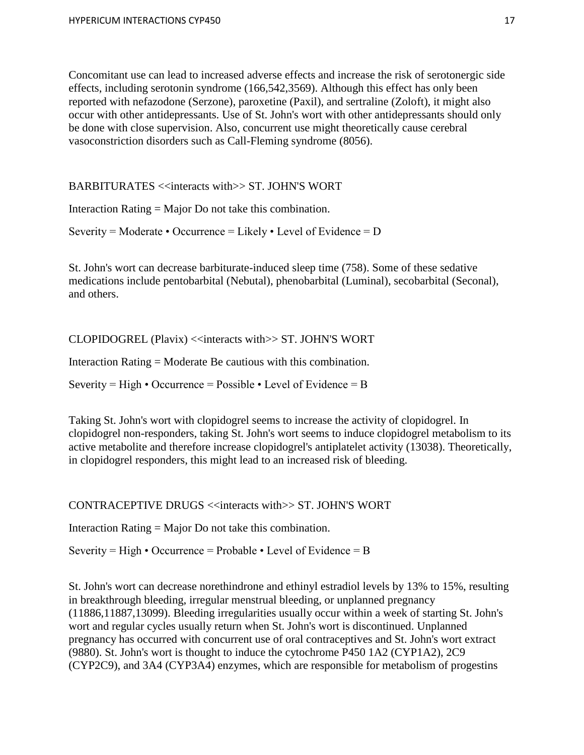Concomitant use can lead to increased adverse effects and increase the risk of serotonergic side effects, including serotonin syndrome (166,542,3569). Although this effect has only been reported with nefazodone (Serzone), paroxetine (Paxil), and sertraline (Zoloft), it might also occur with other antidepressants. Use of St. John's wort with other antidepressants should only be done with close supervision. Also, concurrent use might theoretically cause cerebral vasoconstriction disorders such as Call-Fleming syndrome (8056).

BARBITURATES <<interacts with>> ST. JOHN'S WORT

Interaction Rating = Major Do not take this combination.

Severity = Moderate • Occurrence = Likely • Level of Evidence =  $D$ 

St. John's wort can decrease barbiturate-induced sleep time (758). Some of these sedative medications include pentobarbital (Nebutal), phenobarbital (Luminal), secobarbital (Seconal), and others.

CLOPIDOGREL (Plavix) <<interacts with>> ST. JOHN'S WORT

Interaction Rating = Moderate Be cautious with this combination.

Severity = High • Occurrence = Possible • Level of Evidence = B

Taking St. John's wort with clopidogrel seems to increase the activity of clopidogrel. In clopidogrel non-responders, taking St. John's wort seems to induce clopidogrel metabolism to its active metabolite and therefore increase clopidogrel's antiplatelet activity (13038). Theoretically, in clopidogrel responders, this might lead to an increased risk of bleeding.

CONTRACEPTIVE DRUGS <<interacts with>> ST. JOHN'S WORT

Interaction Rating = Major Do not take this combination.

Severity = High • Occurrence = Probable • Level of Evidence = B

St. John's wort can decrease norethindrone and ethinyl estradiol levels by 13% to 15%, resulting in breakthrough bleeding, irregular menstrual bleeding, or unplanned pregnancy (11886,11887,13099). Bleeding irregularities usually occur within a week of starting St. John's wort and regular cycles usually return when St. John's wort is discontinued. Unplanned pregnancy has occurred with concurrent use of oral contraceptives and St. John's wort extract (9880). St. John's wort is thought to induce the cytochrome P450 1A2 (CYP1A2), 2C9 (CYP2C9), and 3A4 (CYP3A4) enzymes, which are responsible for metabolism of progestins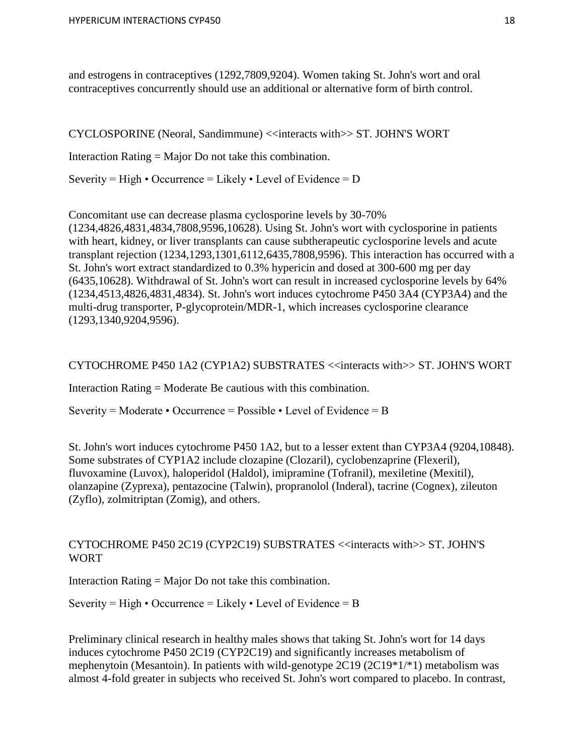and estrogens in contraceptives (1292,7809,9204). Women taking St. John's wort and oral contraceptives concurrently should use an additional or alternative form of birth control.

CYCLOSPORINE (Neoral, Sandimmune) <<interacts with>> ST. JOHN'S WORT Interaction Rating = Major Do not take this combination. Severity = High • Occurrence = Likely • Level of Evidence = D

Concomitant use can decrease plasma cyclosporine levels by 30-70% (1234,4826,4831,4834,7808,9596,10628). Using St. John's wort with cyclosporine in patients with heart, kidney, or liver transplants can cause subtherapeutic cyclosporine levels and acute transplant rejection (1234,1293,1301,6112,6435,7808,9596). This interaction has occurred with a St. John's wort extract standardized to 0.3% hypericin and dosed at 300-600 mg per day (6435,10628). Withdrawal of St. John's wort can result in increased cyclosporine levels by 64% (1234,4513,4826,4831,4834). St. John's wort induces cytochrome P450 3A4 (CYP3A4) and the multi-drug transporter, P-glycoprotein/MDR-1, which increases cyclosporine clearance (1293,1340,9204,9596).

CYTOCHROME P450 1A2 (CYP1A2) SUBSTRATES <<interacts with>> ST. JOHN'S WORT

Interaction Rating = Moderate Be cautious with this combination.

Severity = Moderate • Occurrence = Possible • Level of Evidence = B

St. John's wort induces cytochrome P450 1A2, but to a lesser extent than CYP3A4 (9204,10848). Some substrates of CYP1A2 include clozapine (Clozaril), cyclobenzaprine (Flexeril), fluvoxamine (Luvox), haloperidol (Haldol), imipramine (Tofranil), mexiletine (Mexitil), olanzapine (Zyprexa), pentazocine (Talwin), propranolol (Inderal), tacrine (Cognex), zileuton (Zyflo), zolmitriptan (Zomig), and others.

# CYTOCHROME P450 2C19 (CYP2C19) SUBSTRATES <<interacts with>> ST. JOHN'S WORT

Interaction Rating = Major Do not take this combination.

Severity = High • Occurrence = Likely • Level of Evidence = B

Preliminary clinical research in healthy males shows that taking St. John's wort for 14 days induces cytochrome P450 2C19 (CYP2C19) and significantly increases metabolism of mephenytoin (Mesantoin). In patients with wild-genotype 2C19 (2C19\*1/\*1) metabolism was almost 4-fold greater in subjects who received St. John's wort compared to placebo. In contrast,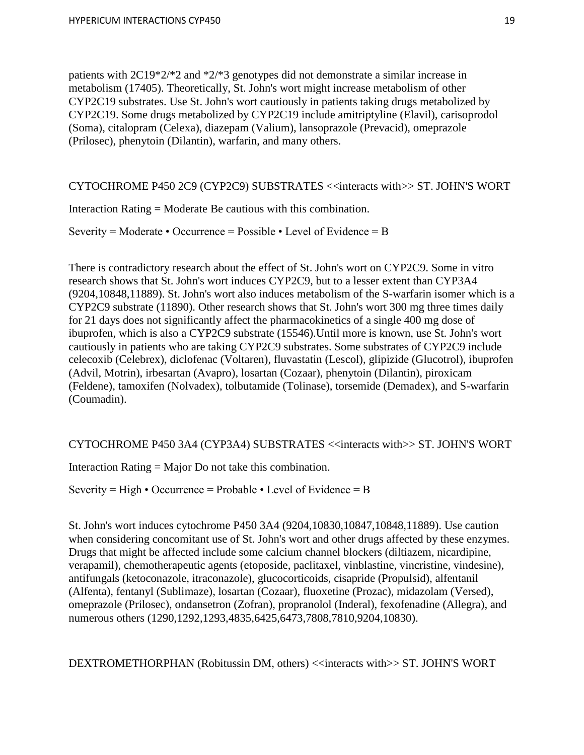patients with 2C19\*2/\*2 and \*2/\*3 genotypes did not demonstrate a similar increase in metabolism (17405). Theoretically, St. John's wort might increase metabolism of other CYP2C19 substrates. Use St. John's wort cautiously in patients taking drugs metabolized by CYP2C19. Some drugs metabolized by CYP2C19 include amitriptyline (Elavil), carisoprodol (Soma), citalopram (Celexa), diazepam (Valium), lansoprazole (Prevacid), omeprazole (Prilosec), phenytoin (Dilantin), warfarin, and many others.

CYTOCHROME P450 2C9 (CYP2C9) SUBSTRATES <<interacts with>> ST. JOHN'S WORT

Interaction Rating = Moderate Be cautious with this combination.

Severity = Moderate • Occurrence = Possible • Level of Evidence = B

There is contradictory research about the effect of St. John's wort on CYP2C9. Some in vitro research shows that St. John's wort induces CYP2C9, but to a lesser extent than CYP3A4 (9204,10848,11889). St. John's wort also induces metabolism of the S-warfarin isomer which is a CYP2C9 substrate (11890). Other research shows that St. John's wort 300 mg three times daily for 21 days does not significantly affect the pharmacokinetics of a single 400 mg dose of ibuprofen, which is also a CYP2C9 substrate (15546).Until more is known, use St. John's wort cautiously in patients who are taking CYP2C9 substrates. Some substrates of CYP2C9 include celecoxib (Celebrex), diclofenac (Voltaren), fluvastatin (Lescol), glipizide (Glucotrol), ibuprofen (Advil, Motrin), irbesartan (Avapro), losartan (Cozaar), phenytoin (Dilantin), piroxicam (Feldene), tamoxifen (Nolvadex), tolbutamide (Tolinase), torsemide (Demadex), and S-warfarin (Coumadin).

CYTOCHROME P450 3A4 (CYP3A4) SUBSTRATES <<interacts with>> ST. JOHN'S WORT

Interaction Rating = Major Do not take this combination.

Severity = High • Occurrence = Probable • Level of Evidence = B

St. John's wort induces cytochrome P450 3A4 (9204,10830,10847,10848,11889). Use caution when considering concomitant use of St. John's wort and other drugs affected by these enzymes. Drugs that might be affected include some calcium channel blockers (diltiazem, nicardipine, verapamil), chemotherapeutic agents (etoposide, paclitaxel, vinblastine, vincristine, vindesine), antifungals (ketoconazole, itraconazole), glucocorticoids, cisapride (Propulsid), alfentanil (Alfenta), fentanyl (Sublimaze), losartan (Cozaar), fluoxetine (Prozac), midazolam (Versed), omeprazole (Prilosec), ondansetron (Zofran), propranolol (Inderal), fexofenadine (Allegra), and numerous others (1290,1292,1293,4835,6425,6473,7808,7810,9204,10830).

DEXTROMETHORPHAN (Robitussin DM, others) <<interacts with>> ST. JOHN'S WORT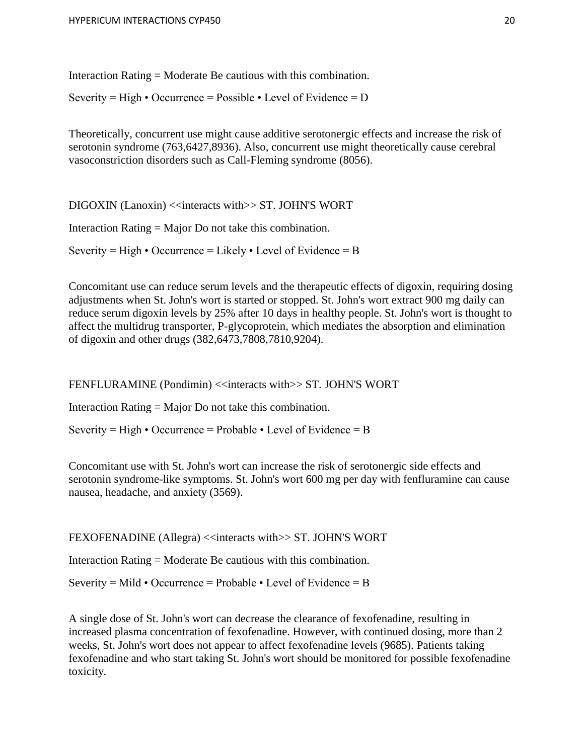Interaction Rating = Moderate Be cautious with this combination.

Severity = High • Occurrence = Possible • Level of Evidence =  $D$ 

Theoretically, concurrent use might cause additive serotonergic effects and increase the risk of serotonin syndrome (763,6427,8936). Also, concurrent use might theoretically cause cerebral vasoconstriction disorders such as Call-Fleming syndrome (8056).

DIGOXIN (Lanoxin) <<interacts with>> ST. JOHN'S WORT

Interaction Rating = Major Do not take this combination.

Severity = High • Occurrence = Likely • Level of Evidence = B

Concomitant use can reduce serum levels and the therapeutic effects of digoxin, requiring dosing adjustments when St. John's wort is started or stopped. St. John's wort extract 900 mg daily can reduce serum digoxin levels by 25% after 10 days in healthy people. St. John's wort is thought to affect the multidrug transporter, P-glycoprotein, which mediates the absorption and elimination of digoxin and other drugs (382,6473,7808,7810,9204).

FENFLURAMINE (Pondimin) << interacts with >> ST. JOHN'S WORT

Interaction Rating = Major Do not take this combination.

Severity = High • Occurrence = Probable • Level of Evidence = B

Concomitant use with St. John's wort can increase the risk of serotonergic side effects and serotonin syndrome-like symptoms. St. John's wort 600 mg per day with fenfluramine can cause nausea, headache, and anxiety (3569).

FEXOFENADINE (Allegra) << interacts with >> ST. JOHN'S WORT

Interaction Rating = Moderate Be cautious with this combination.

Severity = Mild • Occurrence = Probable • Level of Evidence = B

A single dose of St. John's wort can decrease the clearance of fexofenadine, resulting in increased plasma concentration of fexofenadine. However, with continued dosing, more than 2 weeks, St. John's wort does not appear to affect fexofenadine levels (9685). Patients taking fexofenadine and who start taking St. John's wort should be monitored for possible fexofenadine toxicity.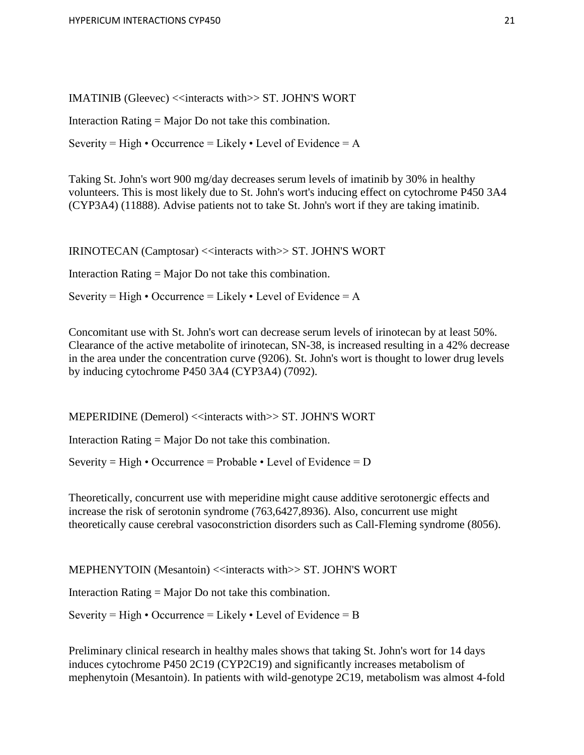IMATINIB (Gleevec) <<interacts with>> ST. JOHN'S WORT

Interaction Rating = Major Do not take this combination.

Severity = High • Occurrence = Likely • Level of Evidence = A

Taking St. John's wort 900 mg/day decreases serum levels of imatinib by 30% in healthy volunteers. This is most likely due to St. John's wort's inducing effect on cytochrome P450 3A4 (CYP3A4) (11888). Advise patients not to take St. John's wort if they are taking imatinib.

IRINOTECAN (Camptosar) <<interacts with>> ST. JOHN'S WORT

Interaction Rating = Major Do not take this combination.

Severity = High • Occurrence = Likely • Level of Evidence = A

Concomitant use with St. John's wort can decrease serum levels of irinotecan by at least 50%. Clearance of the active metabolite of irinotecan, SN-38, is increased resulting in a 42% decrease in the area under the concentration curve (9206). St. John's wort is thought to lower drug levels by inducing cytochrome P450 3A4 (CYP3A4) (7092).

MEPERIDINE (Demerol) <<interacts with>> ST. JOHN'S WORT

Interaction Rating = Major Do not take this combination.

Severity = High • Occurrence = Probable • Level of Evidence =  $D$ 

Theoretically, concurrent use with meperidine might cause additive serotonergic effects and increase the risk of serotonin syndrome (763,6427,8936). Also, concurrent use might theoretically cause cerebral vasoconstriction disorders such as Call-Fleming syndrome (8056).

MEPHENYTOIN (Mesantoin) <<interacts with>> ST. JOHN'S WORT

Interaction Rating = Major Do not take this combination.

Severity = High • Occurrence = Likely • Level of Evidence = B

Preliminary clinical research in healthy males shows that taking St. John's wort for 14 days induces cytochrome P450 2C19 (CYP2C19) and significantly increases metabolism of mephenytoin (Mesantoin). In patients with wild-genotype 2C19, metabolism was almost 4-fold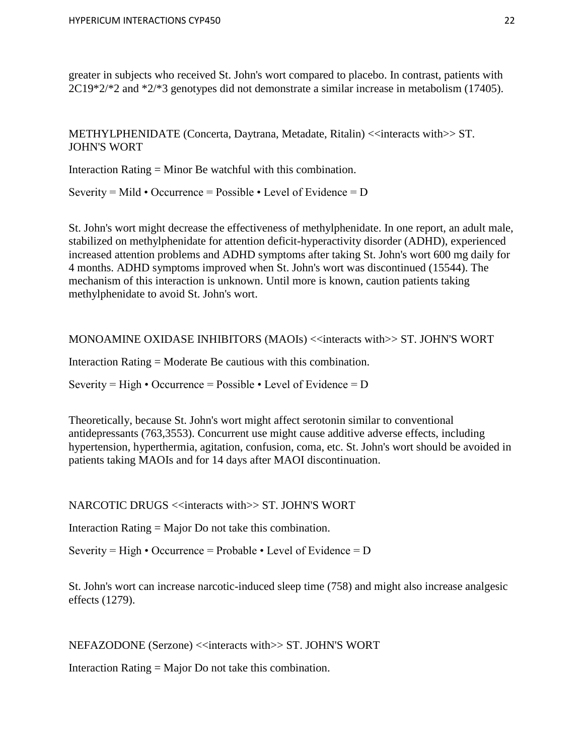greater in subjects who received St. John's wort compared to placebo. In contrast, patients with 2C19\*2/\*2 and \*2/\*3 genotypes did not demonstrate a similar increase in metabolism (17405).

METHYLPHENIDATE (Concerta, Daytrana, Metadate, Ritalin) <<interacts with>> ST. JOHN'S WORT

Interaction Rating = Minor Be watchful with this combination.

Severity = Mild • Occurrence = Possible • Level of Evidence =  $D$ 

St. John's wort might decrease the effectiveness of methylphenidate. In one report, an adult male, stabilized on methylphenidate for attention deficit-hyperactivity disorder (ADHD), experienced increased attention problems and ADHD symptoms after taking St. John's wort 600 mg daily for 4 months. ADHD symptoms improved when St. John's wort was discontinued (15544). The mechanism of this interaction is unknown. Until more is known, caution patients taking methylphenidate to avoid St. John's wort.

MONOAMINE OXIDASE INHIBITORS (MAOIs) <<interacts with>> ST. JOHN'S WORT

Interaction Rating = Moderate Be cautious with this combination.

Severity = High • Occurrence = Possible • Level of Evidence =  $D$ 

Theoretically, because St. John's wort might affect serotonin similar to conventional antidepressants (763,3553). Concurrent use might cause additive adverse effects, including hypertension, hyperthermia, agitation, confusion, coma, etc. St. John's wort should be avoided in patients taking MAOIs and for 14 days after MAOI discontinuation.

NARCOTIC DRUGS <<interacts with>> ST. JOHN'S WORT

Interaction Rating = Major Do not take this combination.

Severity = High • Occurrence = Probable • Level of Evidence =  $D$ 

St. John's wort can increase narcotic-induced sleep time (758) and might also increase analgesic effects (1279).

NEFAZODONE (Serzone) <<interacts with>> ST. JOHN'S WORT

Interaction Rating = Major Do not take this combination.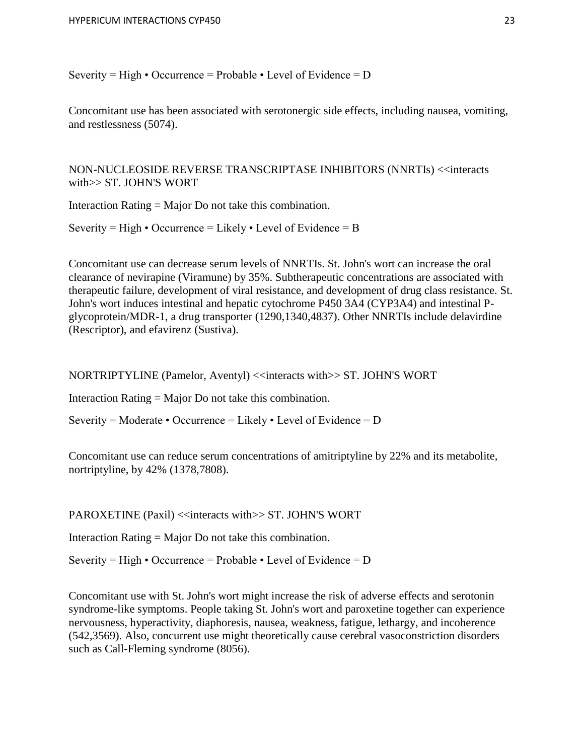Severity = High • Occurrence = Probable • Level of Evidence =  $D$ 

Concomitant use has been associated with serotonergic side effects, including nausea, vomiting, and restlessness (5074).

NON-NUCLEOSIDE REVERSE TRANSCRIPTASE INHIBITORS (NNRTIs) <<interacts with>> ST. JOHN'S WORT

Interaction Rating = Major Do not take this combination.

Severity = High  $\cdot$  Occurrence = Likely  $\cdot$  Level of Evidence = B

Concomitant use can decrease serum levels of NNRTIs. St. John's wort can increase the oral clearance of nevirapine (Viramune) by 35%. Subtherapeutic concentrations are associated with therapeutic failure, development of viral resistance, and development of drug class resistance. St. John's wort induces intestinal and hepatic cytochrome P450 3A4 (CYP3A4) and intestinal Pglycoprotein/MDR-1, a drug transporter (1290,1340,4837). Other NNRTIs include delavirdine (Rescriptor), and efavirenz (Sustiva).

NORTRIPTYLINE (Pamelor, Aventyl) <<interacts with>> ST. JOHN'S WORT

Interaction Rating = Major Do not take this combination.

Severity = Moderate • Occurrence = Likely • Level of Evidence =  $D$ 

Concomitant use can reduce serum concentrations of amitriptyline by 22% and its metabolite, nortriptyline, by 42% (1378,7808).

PAROXETINE (Paxil) << interacts with >> ST. JOHN'S WORT

Interaction Rating = Major Do not take this combination.

Severity = High • Occurrence = Probable • Level of Evidence =  $D$ 

Concomitant use with St. John's wort might increase the risk of adverse effects and serotonin syndrome-like symptoms. People taking St. John's wort and paroxetine together can experience nervousness, hyperactivity, diaphoresis, nausea, weakness, fatigue, lethargy, and incoherence (542,3569). Also, concurrent use might theoretically cause cerebral vasoconstriction disorders such as Call-Fleming syndrome (8056).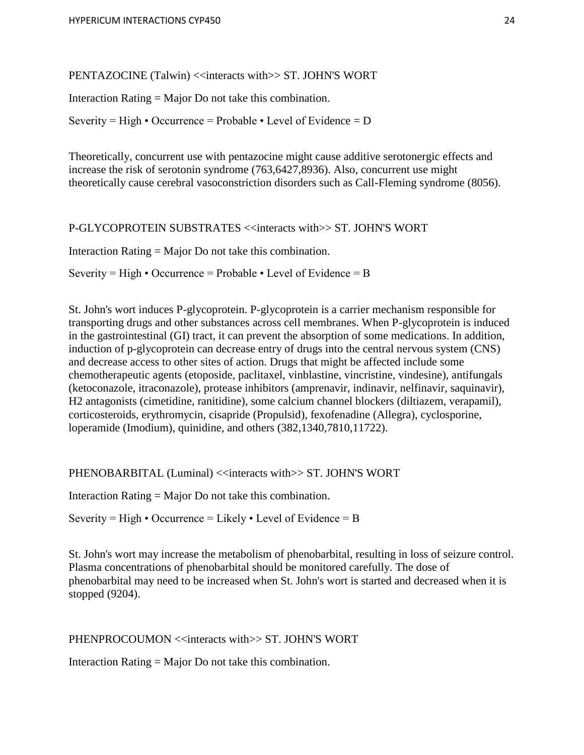PENTAZOCINE (Talwin) << interacts with >> ST. JOHN'S WORT

Interaction Rating = Major Do not take this combination.

Severity = High • Occurrence = Probable • Level of Evidence =  $D$ 

Theoretically, concurrent use with pentazocine might cause additive serotonergic effects and increase the risk of serotonin syndrome (763,6427,8936). Also, concurrent use might theoretically cause cerebral vasoconstriction disorders such as Call-Fleming syndrome (8056).

P-GLYCOPROTEIN SUBSTRATES <<interacts with>> ST. JOHN'S WORT

Interaction Rating = Major Do not take this combination.

Severity = High • Occurrence = Probable • Level of Evidence = B

St. John's wort induces P-glycoprotein. P-glycoprotein is a carrier mechanism responsible for transporting drugs and other substances across cell membranes. When P-glycoprotein is induced in the gastrointestinal (GI) tract, it can prevent the absorption of some medications. In addition, induction of p-glycoprotein can decrease entry of drugs into the central nervous system (CNS) and decrease access to other sites of action. Drugs that might be affected include some chemotherapeutic agents (etoposide, paclitaxel, vinblastine, vincristine, vindesine), antifungals (ketoconazole, itraconazole), protease inhibitors (amprenavir, indinavir, nelfinavir, saquinavir), H2 antagonists (cimetidine, ranitidine), some calcium channel blockers (diltiazem, verapamil), corticosteroids, erythromycin, cisapride (Propulsid), fexofenadine (Allegra), cyclosporine, loperamide (Imodium), quinidine, and others (382,1340,7810,11722).

PHENOBARBITAL (Luminal) << interacts with >> ST. JOHN'S WORT

Interaction Rating = Major Do not take this combination.

Severity = High • Occurrence = Likely • Level of Evidence = B

St. John's wort may increase the metabolism of phenobarbital, resulting in loss of seizure control. Plasma concentrations of phenobarbital should be monitored carefully. The dose of phenobarbital may need to be increased when St. John's wort is started and decreased when it is stopped (9204).

PHENPROCOUMON <<interacts with>> ST. JOHN'S WORT

Interaction Rating = Major Do not take this combination.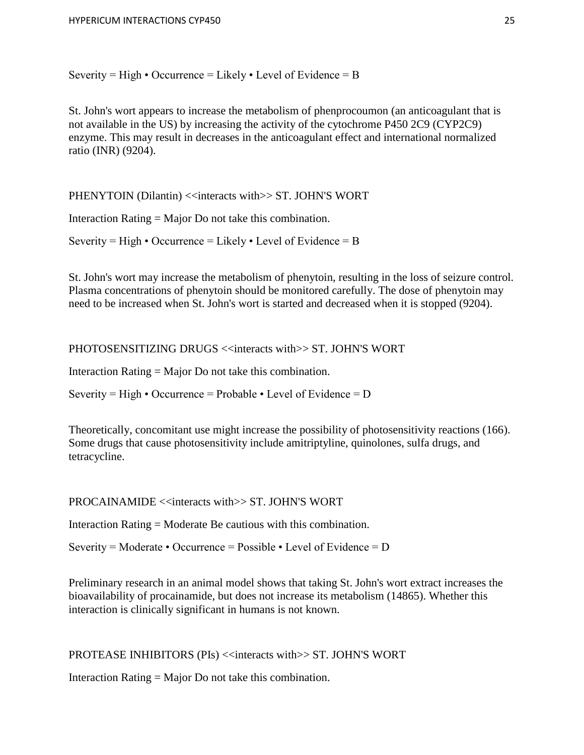Severity = High • Occurrence = Likely • Level of Evidence = B

St. John's wort appears to increase the metabolism of phenprocoumon (an anticoagulant that is not available in the US) by increasing the activity of the cytochrome P450 2C9 (CYP2C9) enzyme. This may result in decreases in the anticoagulant effect and international normalized ratio (INR) (9204).

PHENYTOIN (Dilantin) <<interacts with>> ST. JOHN'S WORT

Interaction Rating = Major Do not take this combination.

Severity = High • Occurrence = Likely • Level of Evidence = B

St. John's wort may increase the metabolism of phenytoin, resulting in the loss of seizure control. Plasma concentrations of phenytoin should be monitored carefully. The dose of phenytoin may need to be increased when St. John's wort is started and decreased when it is stopped (9204).

PHOTOSENSITIZING DRUGS <<interacts with>> ST. JOHN'S WORT

Interaction Rating = Major Do not take this combination.

Severity = High • Occurrence = Probable • Level of Evidence =  $D$ 

Theoretically, concomitant use might increase the possibility of photosensitivity reactions (166). Some drugs that cause photosensitivity include amitriptyline, quinolones, sulfa drugs, and tetracycline.

PROCAINAMIDE  $\le$ interacts with $\ge$ ST. JOHN'S WORT

Interaction Rating = Moderate Be cautious with this combination.

Severity = Moderate • Occurrence = Possible • Level of Evidence =  $D$ 

Preliminary research in an animal model shows that taking St. John's wort extract increases the bioavailability of procainamide, but does not increase its metabolism (14865). Whether this interaction is clinically significant in humans is not known.

PROTEASE INHIBITORS (PIs) << interacts with>> ST. JOHN'S WORT

Interaction Rating = Major Do not take this combination.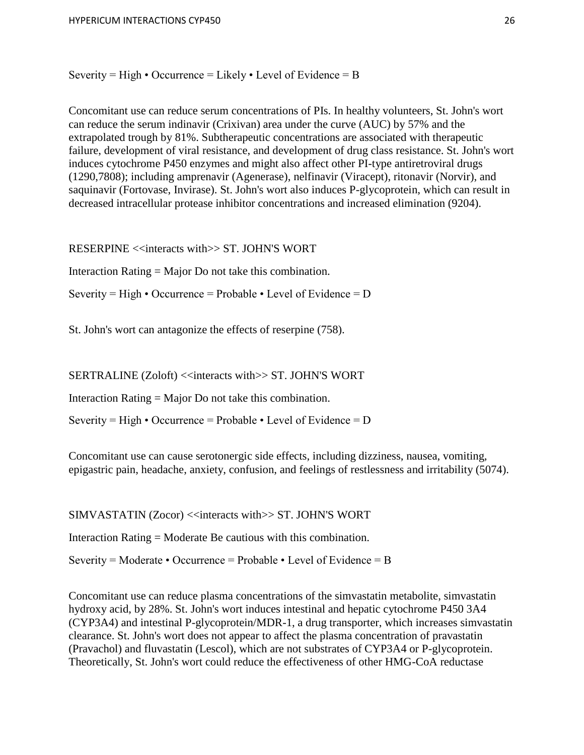Severity = High • Occurrence = Likely • Level of Evidence = B

Concomitant use can reduce serum concentrations of PIs. In healthy volunteers, St. John's wort can reduce the serum indinavir (Crixivan) area under the curve (AUC) by 57% and the extrapolated trough by 81%. Subtherapeutic concentrations are associated with therapeutic failure, development of viral resistance, and development of drug class resistance. St. John's wort induces cytochrome P450 enzymes and might also affect other PI-type antiretroviral drugs (1290,7808); including amprenavir (Agenerase), nelfinavir (Viracept), ritonavir (Norvir), and saquinavir (Fortovase, Invirase). St. John's wort also induces P-glycoprotein, which can result in decreased intracellular protease inhibitor concentrations and increased elimination (9204).

RESERPINE <<interacts with>> ST. JOHN'S WORT

Interaction Rating = Major Do not take this combination.

Severity = High • Occurrence = Probable • Level of Evidence =  $D$ 

St. John's wort can antagonize the effects of reserpine (758).

SERTRALINE (Zoloft) <<interacts with>> ST. JOHN'S WORT

Interaction Rating = Major Do not take this combination.

Severity = High • Occurrence = Probable • Level of Evidence =  $D$ 

Concomitant use can cause serotonergic side effects, including dizziness, nausea, vomiting, epigastric pain, headache, anxiety, confusion, and feelings of restlessness and irritability (5074).

SIMVASTATIN (Zocor) <<interacts with>> ST. JOHN'S WORT

Interaction Rating = Moderate Be cautious with this combination.

Severity = Moderate • Occurrence = Probable • Level of Evidence = B

Concomitant use can reduce plasma concentrations of the simvastatin metabolite, simvastatin hydroxy acid, by 28%. St. John's wort induces intestinal and hepatic cytochrome P450 3A4 (CYP3A4) and intestinal P-glycoprotein/MDR-1, a drug transporter, which increases simvastatin clearance. St. John's wort does not appear to affect the plasma concentration of pravastatin (Pravachol) and fluvastatin (Lescol), which are not substrates of CYP3A4 or P-glycoprotein. Theoretically, St. John's wort could reduce the effectiveness of other HMG-CoA reductase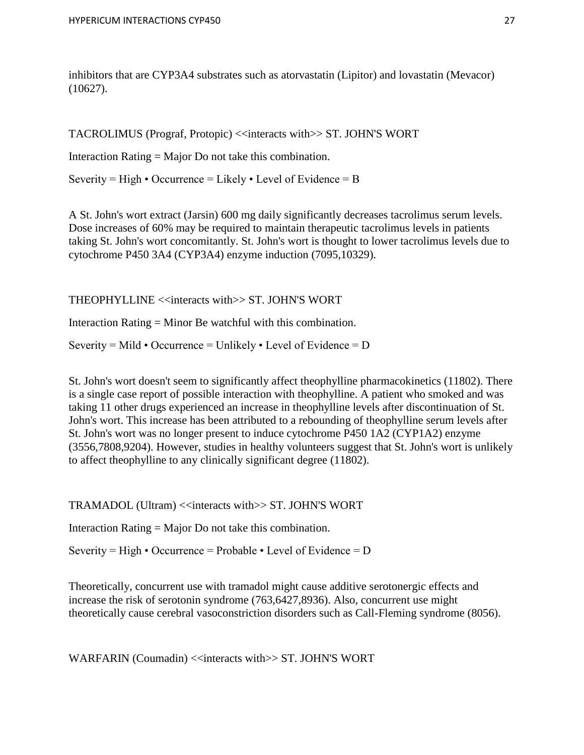inhibitors that are CYP3A4 substrates such as atorvastatin (Lipitor) and lovastatin (Mevacor) (10627).

TACROLIMUS (Prograf, Protopic) <<interacts with>> ST. JOHN'S WORT

Interaction Rating = Major Do not take this combination.

Severity = High • Occurrence = Likely • Level of Evidence = B

A St. John's wort extract (Jarsin) 600 mg daily significantly decreases tacrolimus serum levels. Dose increases of 60% may be required to maintain therapeutic tacrolimus levels in patients taking St. John's wort concomitantly. St. John's wort is thought to lower tacrolimus levels due to cytochrome P450 3A4 (CYP3A4) enzyme induction (7095,10329).

THEOPHYLLINE <<interacts with>> ST. JOHN'S WORT

Interaction Rating = Minor Be watchful with this combination.

Severity = Mild • Occurrence = Unlikely • Level of Evidence = D

St. John's wort doesn't seem to significantly affect theophylline pharmacokinetics (11802). There is a single case report of possible interaction with theophylline. A patient who smoked and was taking 11 other drugs experienced an increase in theophylline levels after discontinuation of St. John's wort. This increase has been attributed to a rebounding of theophylline serum levels after St. John's wort was no longer present to induce cytochrome P450 1A2 (CYP1A2) enzyme (3556,7808,9204). However, studies in healthy volunteers suggest that St. John's wort is unlikely to affect theophylline to any clinically significant degree (11802).

TRAMADOL (Ultram) <<interacts with>> ST. JOHN'S WORT

Interaction Rating = Major Do not take this combination.

Severity = High • Occurrence = Probable • Level of Evidence =  $D$ 

Theoretically, concurrent use with tramadol might cause additive serotonergic effects and increase the risk of serotonin syndrome (763,6427,8936). Also, concurrent use might theoretically cause cerebral vasoconstriction disorders such as Call-Fleming syndrome (8056).

WARFARIN (Coumadin) <<interacts with>> ST. JOHN'S WORT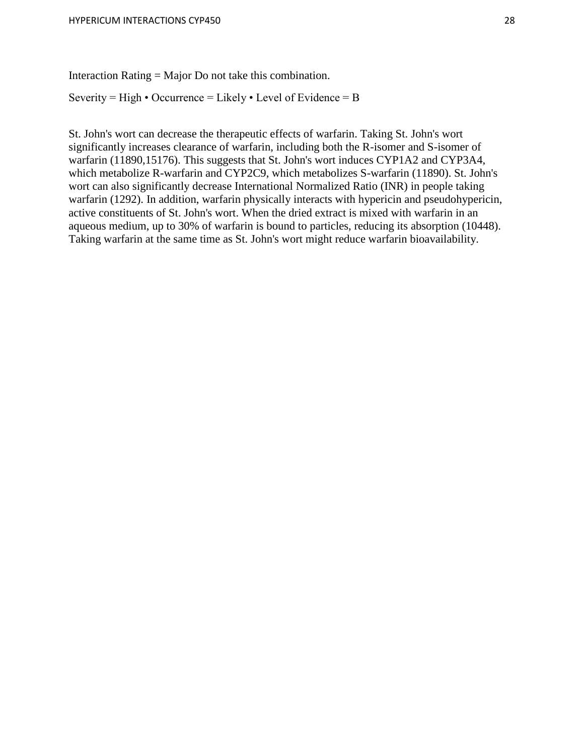Interaction Rating = Major Do not take this combination.

Severity = High • Occurrence = Likely • Level of Evidence = B

St. John's wort can decrease the therapeutic effects of warfarin. Taking St. John's wort significantly increases clearance of warfarin, including both the R-isomer and S-isomer of warfarin (11890,15176). This suggests that St. John's wort induces CYP1A2 and CYP3A4, which metabolize R-warfarin and CYP2C9, which metabolizes S-warfarin (11890). St. John's wort can also significantly decrease International Normalized Ratio (INR) in people taking warfarin (1292). In addition, warfarin physically interacts with hypericin and pseudohypericin, active constituents of St. John's wort. When the dried extract is mixed with warfarin in an aqueous medium, up to 30% of warfarin is bound to particles, reducing its absorption (10448). Taking warfarin at the same time as St. John's wort might reduce warfarin bioavailability.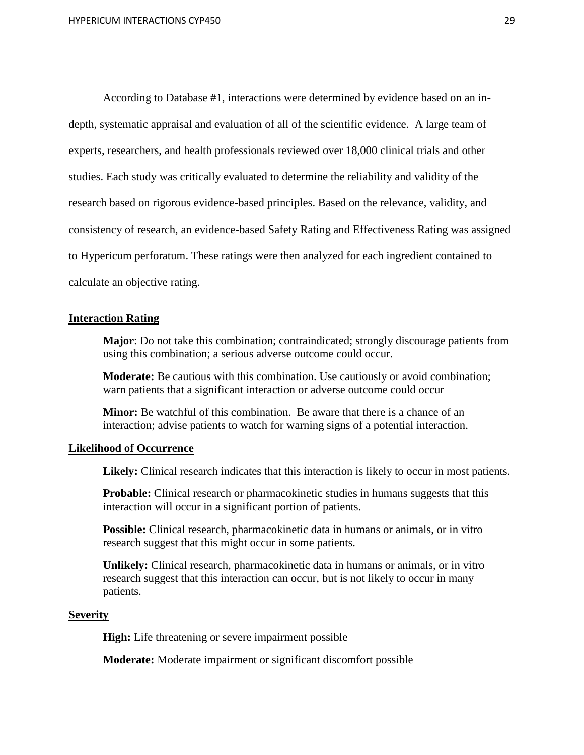According to Database #1, interactions were determined by evidence based on an indepth, systematic appraisal and evaluation of all of the scientific evidence. A large team of experts, researchers, and health professionals reviewed over 18,000 clinical trials and other studies. Each study was critically evaluated to determine the reliability and validity of the research based on rigorous evidence-based principles. Based on the relevance, validity, and consistency of research, an evidence-based Safety Rating and Effectiveness Rating was assigned to Hypericum perforatum. These ratings were then analyzed for each ingredient contained to calculate an objective rating.

#### **Interaction Rating**

**Major**: Do not take this combination; contraindicated; strongly discourage patients from using this combination; a serious adverse outcome could occur.

**Moderate:** Be cautious with this combination. Use cautiously or avoid combination; warn patients that a significant interaction or adverse outcome could occur

**Minor:** Be watchful of this combination. Be aware that there is a chance of an interaction; advise patients to watch for warning signs of a potential interaction.

#### **Likelihood of Occurrence**

**Likely:** Clinical research indicates that this interaction is likely to occur in most patients.

**Probable:** Clinical research or pharmacokinetic studies in humans suggests that this interaction will occur in a significant portion of patients.

**Possible:** Clinical research, pharmacokinetic data in humans or animals, or in vitro research suggest that this might occur in some patients.

**Unlikely:** Clinical research, pharmacokinetic data in humans or animals, or in vitro research suggest that this interaction can occur, but is not likely to occur in many patients.

#### **Severity**

**High:** Life threatening or severe impairment possible

**Moderate:** Moderate impairment or significant discomfort possible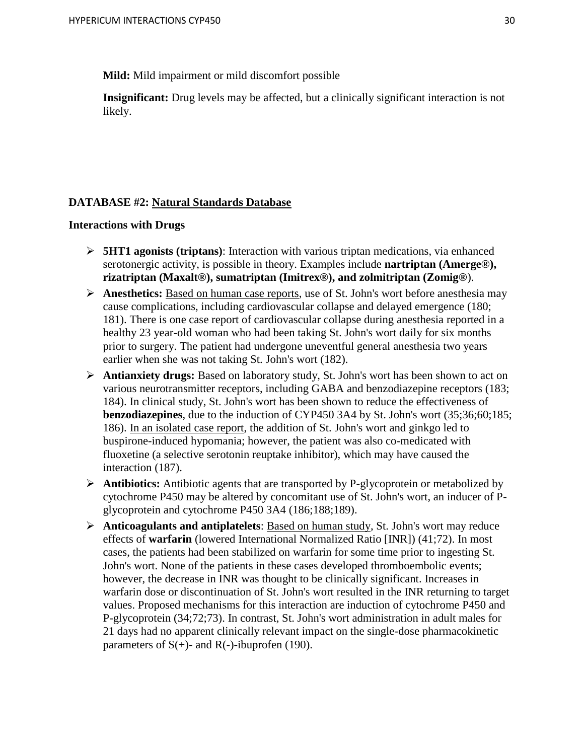**Mild:** Mild impairment or mild discomfort possible

**Insignificant:** Drug levels may be affected, but a clinically significant interaction is not likely.

# **DATABASE #2: Natural Standards Database**

#### **Interactions with Drugs**

- **5HT1 agonists (triptans)**: Interaction with various triptan medications, via enhanced serotonergic activity, is possible in theory. Examples include **nartriptan (Amerge®), rizatriptan (Maxalt®), sumatriptan (Imitrex®), and zolmitriptan (Zomig®**).
- **Anesthetics:** Based on human case reports, use of St. John's wort before anesthesia may cause complications, including cardiovascular collapse and delayed emergence (180; 181). There is one case report of cardiovascular collapse during anesthesia reported in a healthy 23 year-old woman who had been taking St. John's wort daily for six months prior to surgery. The patient had undergone uneventful general anesthesia two years earlier when she was not taking St. John's wort (182).
- **Antianxiety drugs:** Based on laboratory study, St. John's wort has been shown to act on various neurotransmitter receptors, including GABA and benzodiazepine receptors (183; 184). In clinical study, St. John's wort has been shown to reduce the effectiveness of **benzodiazepines**, due to the induction of CYP450 3A4 by St. John's wort (35;36;60;185; 186). In an isolated case report, the addition of St. John's wort and ginkgo led to buspirone-induced hypomania; however, the patient was also co-medicated with fluoxetine (a selective serotonin reuptake inhibitor), which may have caused the interaction (187).
- **Antibiotics:** Antibiotic agents that are transported by P-glycoprotein or metabolized by cytochrome P450 may be altered by concomitant use of St. John's wort, an inducer of Pglycoprotein and cytochrome P450 3A4 (186;188;189).
- **Anticoagulants and antiplatelets**: Based on human study, St. John's wort may reduce effects of **warfarin** (lowered International Normalized Ratio [INR]) (41;72). In most cases, the patients had been stabilized on warfarin for some time prior to ingesting St. John's wort. None of the patients in these cases developed thromboembolic events; however, the decrease in INR was thought to be clinically significant. Increases in warfarin dose or discontinuation of St. John's wort resulted in the INR returning to target values. Proposed mechanisms for this interaction are induction of cytochrome P450 and P-glycoprotein (34;72;73). In contrast, St. John's wort administration in adult males for 21 days had no apparent clinically relevant impact on the single-dose pharmacokinetic parameters of  $S(+)$ - and  $R(-)$ -ibuprofen (190).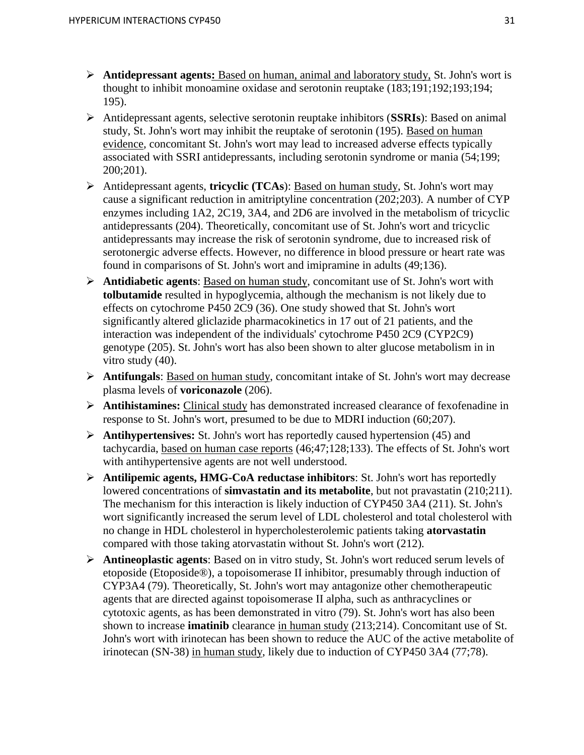- **Antidepressant agents:** Based on human, animal and laboratory study, St. John's wort is thought to inhibit monoamine oxidase and serotonin reuptake (183;191;192;193;194; 195).
- Antidepressant agents, selective serotonin reuptake inhibitors (**SSRIs**): Based on animal study, St. John's wort may inhibit the reuptake of serotonin (195). Based on human evidence, concomitant St. John's wort may lead to increased adverse effects typically associated with SSRI antidepressants, including serotonin syndrome or mania (54;199; 200;201).
- Antidepressant agents, **tricyclic (TCAs**): Based on human study, St. John's wort may cause a significant reduction in amitriptyline concentration (202;203). A number of CYP enzymes including 1A2, 2C19, 3A4, and 2D6 are involved in the metabolism of tricyclic antidepressants (204). Theoretically, concomitant use of St. John's wort and tricyclic antidepressants may increase the risk of serotonin syndrome, due to increased risk of serotonergic adverse effects. However, no difference in blood pressure or heart rate was found in comparisons of St. John's wort and imipramine in adults (49;136).
- **Antidiabetic agents**: Based on human study, concomitant use of St. John's wort with **tolbutamide** resulted in hypoglycemia, although the mechanism is not likely due to effects on cytochrome P450 2C9 (36). One study showed that St. John's wort significantly altered gliclazide pharmacokinetics in 17 out of 21 patients, and the interaction was independent of the individuals' cytochrome P450 2C9 (CYP2C9) genotype (205). St. John's wort has also been shown to alter glucose metabolism in in vitro study (40).
- **Antifungals**: Based on human study, concomitant intake of St. John's wort may decrease plasma levels of **voriconazole** (206).
- **Antihistamines:** Clinical study has demonstrated increased clearance of fexofenadine in response to St. John's wort, presumed to be due to MDRI induction (60;207).
- **Antihypertensives:** St. John's wort has reportedly caused hypertension (45) and tachycardia, based on human case reports (46;47;128;133). The effects of St. John's wort with antihypertensive agents are not well understood.
- **Antilipemic agents, HMG-CoA reductase inhibitors**: St. John's wort has reportedly lowered concentrations of **simvastatin and its metabolite**, but not pravastatin (210;211). The mechanism for this interaction is likely induction of CYP450 3A4 (211). St. John's wort significantly increased the serum level of LDL cholesterol and total cholesterol with no change in HDL cholesterol in hypercholesterolemic patients taking **atorvastatin** compared with those taking atorvastatin without St. John's wort (212).
- **Antineoplastic agents**: Based on in vitro study, St. John's wort reduced serum levels of etoposide (Etoposide®), a topoisomerase II inhibitor, presumably through induction of CYP3A4 (79). Theoretically, St. John's wort may antagonize other chemotherapeutic agents that are directed against topoisomerase II alpha, such as anthracyclines or cytotoxic agents, as has been demonstrated in vitro (79). St. John's wort has also been shown to increase **imatinib** clearance in human study (213;214). Concomitant use of St. John's wort with irinotecan has been shown to reduce the AUC of the active metabolite of irinotecan (SN-38) in human study, likely due to induction of CYP450 3A4 (77;78).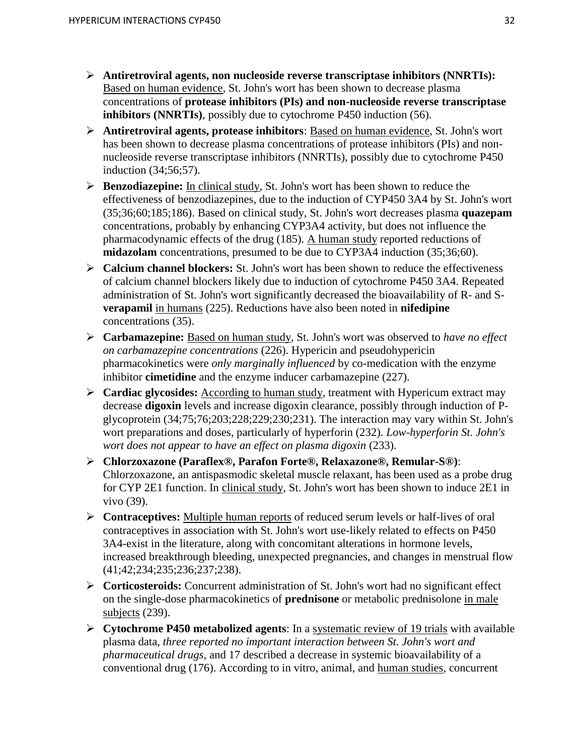- **Antiretroviral agents, non nucleoside reverse transcriptase inhibitors (NNRTIs):** Based on human evidence, St. John's wort has been shown to decrease plasma concentrations of **protease inhibitors (PIs) and non-nucleoside reverse transcriptase inhibitors (NNRTIs)**, possibly due to cytochrome P450 induction (56).
- **Antiretroviral agents, protease inhibitors**: Based on human evidence, St. John's wort has been shown to decrease plasma concentrations of protease inhibitors (PIs) and nonnucleoside reverse transcriptase inhibitors (NNRTIs), possibly due to cytochrome P450 induction (34;56;57).
- **Benzodiazepine:** In clinical study, St. John's wort has been shown to reduce the effectiveness of benzodiazepines, due to the induction of CYP450 3A4 by St. John's wort (35;36;60;185;186). Based on clinical study, St. John's wort decreases plasma **quazepam**  concentrations, probably by enhancing CYP3A4 activity, but does not influence the pharmacodynamic effects of the drug (185). A human study reported reductions of **midazolam** concentrations, presumed to be due to CYP3A4 induction (35;36;60).
- **Calcium channel blockers:** St. John's wort has been shown to reduce the effectiveness of calcium channel blockers likely due to induction of cytochrome P450 3A4. Repeated administration of St. John's wort significantly decreased the bioavailability of R- and S**verapamil** in humans (225). Reductions have also been noted in **nifedipine** concentrations (35).
- **Carbamazepine:** Based on human study, St. John's wort was observed to *have no effect on carbamazepine concentrations* (226). Hypericin and pseudohypericin pharmacokinetics were *only marginally influenced* by co-medication with the enzyme inhibitor **cimetidine** and the enzyme inducer carbamazepine (227).
- **Cardiac glycosides:** According to human study, treatment with Hypericum extract may decrease **digoxin** levels and increase digoxin clearance, possibly through induction of Pglycoprotein (34;75;76;203;228;229;230;231). The interaction may vary within St. John's wort preparations and doses, particularly of hyperforin (232). *Low-hyperforin St. John's wort does not appear to have an effect on plasma digoxin* (233).
- **Chlorzoxazone (Paraflex®, Parafon Forte®, Relaxazone®, Remular-S®)**: Chlorzoxazone, an antispasmodic skeletal muscle relaxant, has been used as a probe drug for CYP 2E1 function. In clinical study, St. John's wort has been shown to induce 2E1 in vivo (39).
- **Contraceptives:** Multiple human reports of reduced serum levels or half-lives of oral contraceptives in association with St. John's wort use-likely related to effects on P450 3A4-exist in the literature, along with concomitant alterations in hormone levels, increased breakthrough bleeding, unexpected pregnancies, and changes in menstrual flow (41;42;234;235;236;237;238).
- **Corticosteroids:** Concurrent administration of St. John's wort had no significant effect on the single-dose pharmacokinetics of **prednisone** or metabolic prednisolone in male subjects (239).
- **Cytochrome P450 metabolized agents**: In a systematic review of 19 trials with available plasma data, *three reported no important interaction between St. John's wort and pharmaceutical drugs*, and 17 described a decrease in systemic bioavailability of a conventional drug (176). According to in vitro, animal, and human studies, concurrent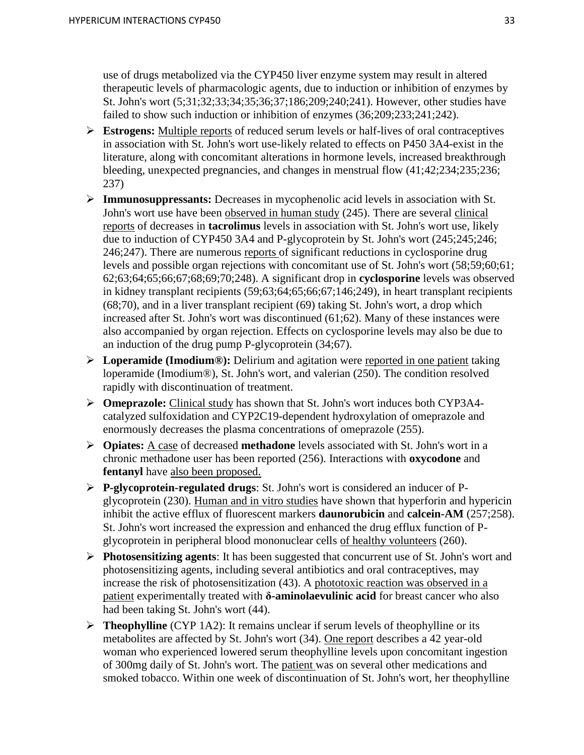use of drugs metabolized via the CYP450 liver enzyme system may result in altered therapeutic levels of pharmacologic agents, due to induction or inhibition of enzymes by St. John's wort (5;31;32;33;34;35;36;37;186;209;240;241). However, other studies have failed to show such induction or inhibition of enzymes (36;209;233;241;242).

- **Estrogens:** Multiple reports of reduced serum levels or half-lives of oral contraceptives in association with St. John's wort use-likely related to effects on P450 3A4-exist in the literature, along with concomitant alterations in hormone levels, increased breakthrough bleeding, unexpected pregnancies, and changes in menstrual flow (41;42;234;235;236; 237)
- **Immunosuppressants:** Decreases in mycophenolic acid levels in association with St. John's wort use have been observed in human study (245). There are several clinical reports of decreases in **tacrolimus** levels in association with St. John's wort use, likely due to induction of CYP450 3A4 and P-glycoprotein by St. John's wort (245;245;246; 246;247). There are numerous reports of significant reductions in cyclosporine drug levels and possible organ rejections with concomitant use of St. John's wort (58;59;60;61; 62;63;64;65;66;67;68;69;70;248). A significant drop in **cyclosporine** levels was observed in kidney transplant recipients (59;63;64;65;66;67;146;249), in heart transplant recipients (68;70), and in a liver transplant recipient (69) taking St. John's wort, a drop which increased after St. John's wort was discontinued (61;62). Many of these instances were also accompanied by organ rejection. Effects on cyclosporine levels may also be due to an induction of the drug pump P-glycoprotein (34;67).
- **Loperamide (Imodium®):** Delirium and agitation were reported in one patient taking loperamide (Imodium®), St. John's wort, and valerian (250). The condition resolved rapidly with discontinuation of treatment.
- **Cometagorian** Study has shown that St. John's wort induces both CYP3A4catalyzed sulfoxidation and CYP2C19-dependent hydroxylation of omeprazole and enormously decreases the plasma concentrations of omeprazole (255).
- **Opiates:** A case of decreased **methadone** levels associated with St. John's wort in a chronic methadone user has been reported (256). Interactions with **oxycodone** and **fentanyl** have also been proposed.
- **P-glycoprotein-regulated drugs**: St. John's wort is considered an inducer of Pglycoprotein (230). Human and in vitro studies have shown that hyperforin and hypericin inhibit the active efflux of fluorescent markers **daunorubicin** and **calcein-AM** (257;258). St. John's wort increased the expression and enhanced the drug efflux function of Pglycoprotein in peripheral blood mononuclear cells of healthy volunteers (260).
- **Photosensitizing agents**: It has been suggested that concurrent use of St. John's wort and photosensitizing agents, including several antibiotics and oral contraceptives, may increase the risk of photosensitization (43). A phototoxic reaction was observed in a patient experimentally treated with **δ-aminolaevulinic acid** for breast cancer who also had been taking St. John's wort (44).
- **Theophylline** (CYP 1A2): It remains unclear if serum levels of theophylline or its metabolites are affected by St. John's wort (34). One report describes a 42 year-old woman who experienced lowered serum theophylline levels upon concomitant ingestion of 300mg daily of St. John's wort. The patient was on several other medications and smoked tobacco. Within one week of discontinuation of St. John's wort, her theophylline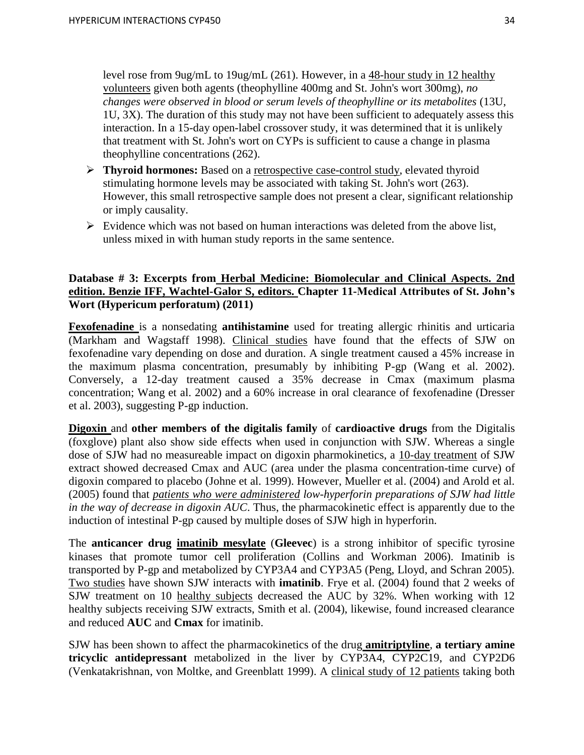level rose from 9ug/mL to 19ug/mL (261). However, in a 48-hour study in 12 healthy volunteers given both agents (theophylline 400mg and St. John's wort 300mg), *no changes were observed in blood or serum levels of theophylline or its metabolites* (13U, 1U, 3X). The duration of this study may not have been sufficient to adequately assess this interaction. In a 15-day open-label crossover study, it was determined that it is unlikely that treatment with St. John's wort on CYPs is sufficient to cause a change in plasma theophylline concentrations (262).

- **Thyroid hormones:** Based on a retrospective case-control study, elevated thyroid stimulating hormone levels may be associated with taking St. John's wort (263). However, this small retrospective sample does not present a clear, significant relationship or imply causality.
- $\triangleright$  Evidence which was not based on human interactions was deleted from the above list, unless mixed in with human study reports in the same sentence.

# **Database # 3: Excerpts from Herbal Medicine: Biomolecular and Clinical Aspects. 2nd edition. Benzie IFF, Wachtel-Galor S, editors. Chapter 11-Medical Attributes of St. John's Wort (Hypericum perforatum) (2011)**

**Fexofenadine** is a nonsedating **antihistamine** used for treating allergic rhinitis and urticaria (Markham and Wagstaff 1998). Clinical studies have found that the effects of SJW on fexofenadine vary depending on dose and duration. A single treatment caused a 45% increase in the maximum plasma concentration, presumably by inhibiting P-gp (Wang et al. 2002). Conversely, a 12-day treatment caused a 35% decrease in Cmax (maximum plasma concentration; Wang et al. 2002) and a 60% increase in oral clearance of fexofenadine (Dresser et al. 2003), suggesting P-gp induction.

**Digoxin** and **other members of the digitalis family** of **cardioactive drugs** from the Digitalis (foxglove) plant also show side effects when used in conjunction with SJW. Whereas a single dose of SJW had no measureable impact on digoxin pharmokinetics, a 10-day treatment of SJW extract showed decreased Cmax and AUC (area under the plasma concentration-time curve) of digoxin compared to placebo (Johne et al. 1999). However, Mueller et al. (2004) and Arold et al. (2005) found that *patients who were administered low-hyperforin preparations of SJW had little in the way of decrease in digoxin AUC*. Thus, the pharmacokinetic effect is apparently due to the induction of intestinal P-gp caused by multiple doses of SJW high in hyperforin.

The **anticancer drug imatinib mesylate** (**Gleevec**) is a strong inhibitor of specific tyrosine kinases that promote tumor cell proliferation (Collins and Workman 2006). Imatinib is transported by P-gp and metabolized by CYP3A4 and CYP3A5 (Peng, Lloyd, and Schran 2005). Two studies have shown SJW interacts with **imatinib**. Frye et al. (2004) found that 2 weeks of SJW treatment on 10 healthy subjects decreased the AUC by 32%. When working with 12 healthy subjects receiving SJW extracts, Smith et al. (2004), likewise, found increased clearance and reduced **AUC** and **Cmax** for imatinib.

SJW has been shown to affect the pharmacokinetics of the drug **amitriptyline**, **a tertiary amine tricyclic antidepressant** metabolized in the liver by CYP3A4, CYP2C19, and CYP2D6 (Venkatakrishnan, von Moltke, and Greenblatt 1999). A clinical study of 12 patients taking both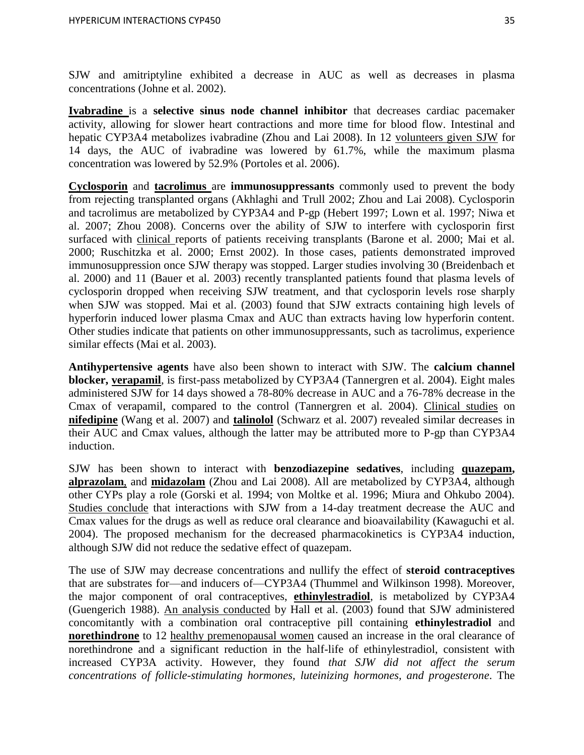SJW and amitriptyline exhibited a decrease in AUC as well as decreases in plasma concentrations (Johne et al. 2002).

**Ivabradine** is a **selective sinus node channel inhibitor** that decreases cardiac pacemaker activity, allowing for slower heart contractions and more time for blood flow. Intestinal and hepatic CYP3A4 metabolizes ivabradine (Zhou and Lai 2008). In 12 volunteers given SJW for 14 days, the AUC of ivabradine was lowered by 61.7%, while the maximum plasma concentration was lowered by 52.9% (Portoles et al. 2006).

**Cyclosporin** and **tacrolimus** are **immunosuppressants** commonly used to prevent the body from rejecting transplanted organs (Akhlaghi and Trull 2002; Zhou and Lai 2008). Cyclosporin and tacrolimus are metabolized by CYP3A4 and P-gp (Hebert 1997; Lown et al. 1997; Niwa et al. 2007; Zhou 2008). Concerns over the ability of SJW to interfere with cyclosporin first surfaced with clinical reports of patients receiving transplants (Barone et al. 2000; Mai et al. 2000; Ruschitzka et al. 2000; Ernst 2002). In those cases, patients demonstrated improved immunosuppression once SJW therapy was stopped. Larger studies involving 30 (Breidenbach et al. 2000) and 11 (Bauer et al. 2003) recently transplanted patients found that plasma levels of cyclosporin dropped when receiving SJW treatment, and that cyclosporin levels rose sharply when SJW was stopped. Mai et al. (2003) found that SJW extracts containing high levels of hyperforin induced lower plasma Cmax and AUC than extracts having low hyperforin content. Other studies indicate that patients on other immunosuppressants, such as tacrolimus, experience similar effects (Mai et al. 2003).

**Antihypertensive agents** have also been shown to interact with SJW. The **calcium channel blocker, verapamil**, is first-pass metabolized by CYP3A4 (Tannergren et al. 2004). Eight males administered SJW for 14 days showed a 78-80% decrease in AUC and a 76-78% decrease in the Cmax of verapamil, compared to the control (Tannergren et al. 2004). Clinical studies on **nifedipine** (Wang et al. 2007) and **talinolol** (Schwarz et al. 2007) revealed similar decreases in their AUC and Cmax values, although the latter may be attributed more to P-gp than CYP3A4 induction.

SJW has been shown to interact with **benzodiazepine sedatives**, including **quazepam, alprazolam**, and **midazolam** (Zhou and Lai 2008). All are metabolized by CYP3A4, although other CYPs play a role (Gorski et al. 1994; von Moltke et al. 1996; Miura and Ohkubo 2004). Studies conclude that interactions with SJW from a 14-day treatment decrease the AUC and Cmax values for the drugs as well as reduce oral clearance and bioavailability (Kawaguchi et al. 2004). The proposed mechanism for the decreased pharmacokinetics is CYP3A4 induction, although SJW did not reduce the sedative effect of quazepam.

The use of SJW may decrease concentrations and nullify the effect of **steroid contraceptives** that are substrates for—and inducers of—CYP3A4 (Thummel and Wilkinson 1998). Moreover, the major component of oral contraceptives, **ethinylestradiol**, is metabolized by CYP3A4 (Guengerich 1988). An analysis conducted by Hall et al. (2003) found that SJW administered concomitantly with a combination oral contraceptive pill containing **ethinylestradiol** and **norethindrone** to 12 healthy premenopausal women caused an increase in the oral clearance of norethindrone and a significant reduction in the half-life of ethinylestradiol, consistent with increased CYP3A activity. However, they found *that SJW did not affect the serum concentrations of follicle-stimulating hormones, luteinizing hormones, and progesterone*. The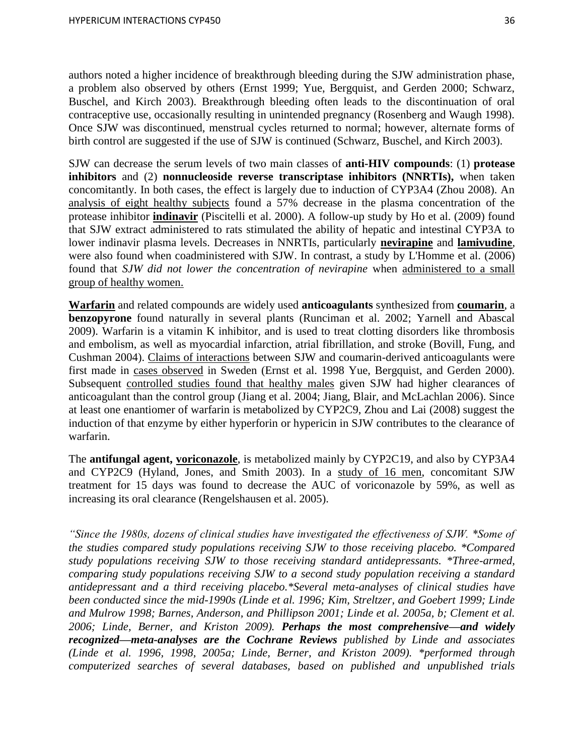authors noted a higher incidence of breakthrough bleeding during the SJW administration phase, a problem also observed by others (Ernst 1999; Yue, Bergquist, and Gerden 2000; Schwarz, Buschel, and Kirch 2003). Breakthrough bleeding often leads to the discontinuation of oral contraceptive use, occasionally resulting in unintended pregnancy (Rosenberg and Waugh 1998). Once SJW was discontinued, menstrual cycles returned to normal; however, alternate forms of birth control are suggested if the use of SJW is continued (Schwarz, Buschel, and Kirch 2003).

SJW can decrease the serum levels of two main classes of **anti-HIV compounds**: (1) **protease inhibitors** and (2) **nonnucleoside reverse transcriptase inhibitors (NNRTIs),** when taken concomitantly. In both cases, the effect is largely due to induction of CYP3A4 (Zhou 2008). An analysis of eight healthy subjects found a 57% decrease in the plasma concentration of the protease inhibitor **indinavir** (Piscitelli et al. 2000). A follow-up study by Ho et al. (2009) found that SJW extract administered to rats stimulated the ability of hepatic and intestinal CYP3A to lower indinavir plasma levels. Decreases in NNRTIs, particularly **nevirapine** and **lamivudine**, were also found when coadministered with SJW. In contrast, a study by L'Homme et al. (2006) found that *SJW did not lower the concentration of nevirapine* when administered to a small group of healthy women.

**Warfarin** and related compounds are widely used **anticoagulants** synthesized from **coumarin**, a **benzopyrone** found naturally in several plants (Runciman et al. 2002; Yarnell and Abascal 2009). Warfarin is a vitamin K inhibitor, and is used to treat clotting disorders like thrombosis and embolism, as well as myocardial infarction, atrial fibrillation, and stroke (Bovill, Fung, and Cushman 2004). Claims of interactions between SJW and coumarin-derived anticoagulants were first made in cases observed in Sweden (Ernst et al. 1998 Yue, Bergquist, and Gerden 2000). Subsequent controlled studies found that healthy males given SJW had higher clearances of anticoagulant than the control group (Jiang et al. 2004; Jiang, Blair, and McLachlan 2006). Since at least one enantiomer of warfarin is metabolized by CYP2C9, Zhou and Lai (2008) suggest the induction of that enzyme by either hyperforin or hypericin in SJW contributes to the clearance of warfarin.

The **antifungal agent, voriconazole**, is metabolized mainly by CYP2C19, and also by CYP3A4 and CYP2C9 (Hyland, Jones, and Smith 2003). In a study of 16 men, concomitant SJW treatment for 15 days was found to decrease the AUC of voriconazole by 59%, as well as increasing its oral clearance (Rengelshausen et al. 2005).

*"Since the 1980s, dozens of clinical studies have investigated the effectiveness of SJW. \*Some of the studies compared study populations receiving SJW to those receiving placebo. \*Compared study populations receiving SJW to those receiving standard antidepressants. \*Three-armed, comparing study populations receiving SJW to a second study population receiving a standard antidepressant and a third receiving placebo.\*Several meta-analyses of clinical studies have been conducted since the mid-1990s (Linde et al. 1996; Kim, Streltzer, and Goebert 1999; Linde and Mulrow 1998; Barnes, Anderson, and Phillipson 2001; Linde et al. 2005a, b; Clement et al. 2006; Linde, Berner, and Kriston 2009). Perhaps the most comprehensive—and widely recognized—meta-analyses are the Cochrane Reviews published by Linde and associates (Linde et al. 1996, 1998, 2005a; Linde, Berner, and Kriston 2009). \*performed through computerized searches of several databases, based on published and unpublished trials*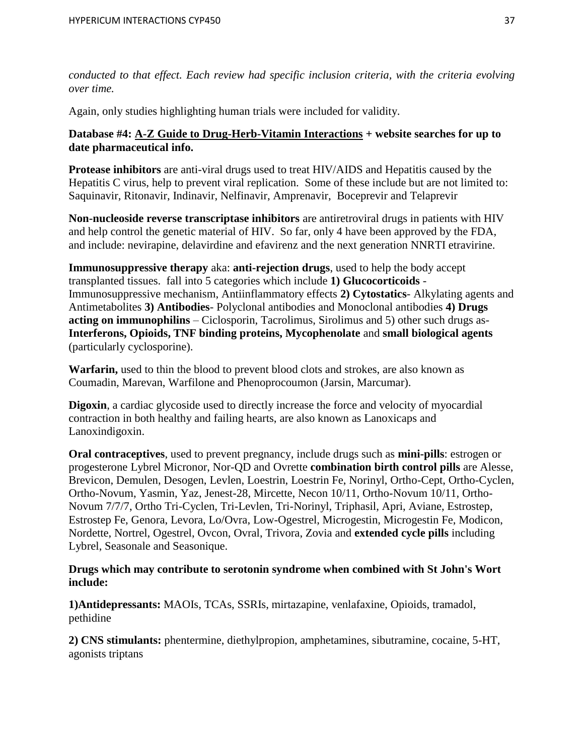*conducted to that effect. Each review had specific inclusion criteria, with the criteria evolving over time.* 

Again, only studies highlighting human trials were included for validity.

# **Database #4: A-Z Guide to Drug-Herb-Vitamin Interactions + website searches for up to date pharmaceutical info.**

**Protease inhibitors** are anti-viral drugs used to treat HIV/AIDS and Hepatitis caused by the Hepatitis C virus, help to prevent viral replication. Some of these include but are not limited to: Saquinavir, Ritonavir, Indinavir, Nelfinavir, Amprenavir, Boceprevir and Telaprevir

**Non-nucleoside reverse transcriptase inhibitors** are antiretroviral drugs in patients with HIV and help control the genetic material of HIV. So far, only 4 have been approved by the FDA, and include: nevirapine, delavirdine and efavirenz and the next generation NNRTI etravirine.

**Immunosuppressive therapy** aka: **anti-rejection drugs**, used to help the body accept transplanted tissues. fall into 5 categories which include **1) Glucocorticoids** - Immunosuppressive mechanism, Antiinflammatory effects **2) Cytostatics**- Alkylating agents and Antimetabolites **3) Antibodies**- Polyclonal antibodies and Monoclonal antibodies **4) Drugs acting on immunophilins** – Ciclosporin, Tacrolimus, Sirolimus and 5) other such drugs as-**Interferons, Opioids, TNF binding proteins, Mycophenolate** and **small biological agents** (particularly cyclosporine).

**Warfarin,** used to thin the blood to prevent blood clots and strokes, are also known as Coumadin, Marevan, Warfilone and Phenoprocoumon (Jarsin, Marcumar).

**Digoxin**, a cardiac glycoside used to directly increase the force and velocity of myocardial contraction in both healthy and failing hearts, are also known as Lanoxicaps and Lanoxindigoxin.

**Oral contraceptives**, used to prevent pregnancy, include drugs such as **mini-pills**: estrogen or progesterone Lybrel Micronor, Nor-QD and Ovrette **combination birth control pills** are Alesse, Brevicon, Demulen, Desogen, Levlen, Loestrin, Loestrin Fe, Norinyl, Ortho-Cept, Ortho-Cyclen, Ortho-Novum, Yasmin, Yaz, Jenest-28, Mircette, Necon 10/11, Ortho-Novum 10/11, Ortho-Novum 7/7/7, Ortho Tri-Cyclen, Tri-Levlen, Tri-Norinyl, Triphasil, Apri, Aviane, Estrostep, Estrostep Fe, Genora, Levora, Lo/Ovra, Low-Ogestrel, Microgestin, Microgestin Fe, Modicon, Nordette, Nortrel, Ogestrel, Ovcon, Ovral, Trivora, Zovia and **extended cycle pills** including Lybrel, Seasonale and Seasonique.

# **Drugs which may contribute to serotonin syndrome when combined with St John's Wort include:**

**1)Antidepressants:** MAOIs, TCAs, SSRIs, mirtazapine, venlafaxine, Opioids, tramadol, pethidine

**2) CNS stimulants:** phentermine, diethylpropion, amphetamines, sibutramine, cocaine, 5-HT, agonists triptans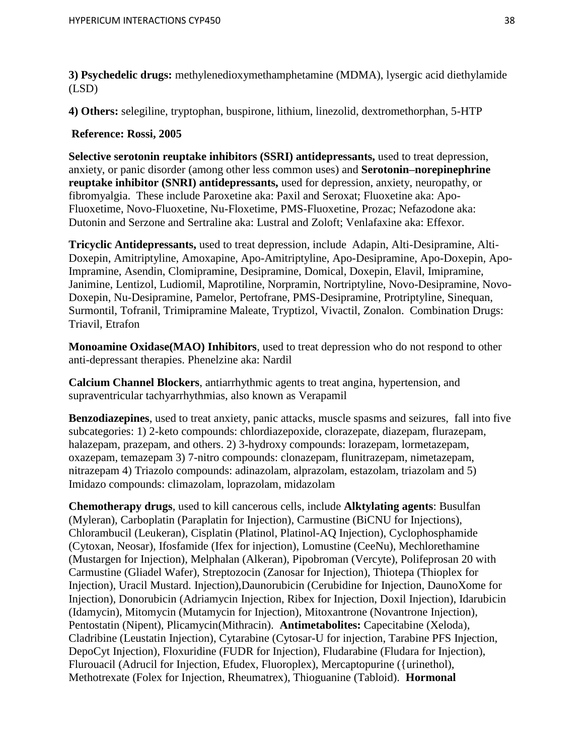**3) Psychedelic drugs:** methylenedioxymethamphetamine (MDMA), lysergic acid diethylamide (LSD)

**4) Others:** selegiline, tryptophan, buspirone, lithium, linezolid, dextromethorphan, 5-HTP

# **Reference: Rossi, 2005**

**Selective serotonin reuptake inhibitors (SSRI) antidepressants,** used to treat depression, anxiety, or panic disorder (among other less common uses) and **Serotonin–norepinephrine reuptake inhibitor (SNRI) antidepressants,** used for depression, anxiety, neuropathy, or fibromyalgia.These include Paroxetine aka: Paxil and Seroxat; Fluoxetine aka: Apo-Fluoxetime, Novo-Fluoxetine, Nu-Floxetime, PMS-Fluoxetine, Prozac; Nefazodone aka: Dutonin and Serzone and Sertraline aka: Lustral and Zoloft; Venlafaxine aka: Effexor.

**Tricyclic Antidepressants,** used to treat depression, include Adapin, Alti-Desipramine, Alti-Doxepin, Amitriptyline, Amoxapine, Apo-Amitriptyline, Apo-Desipramine, Apo-Doxepin, Apo-Impramine, Asendin, Clomipramine, Desipramine, Domical, Doxepin, Elavil, Imipramine, Janimine, Lentizol, Ludiomil, Maprotiline, Norpramin, Nortriptyline, Novo-Desipramine, Novo-Doxepin, Nu-Desipramine, Pamelor, Pertofrane, PMS-Desipramine, Protriptyline, Sinequan, Surmontil, Tofranil, Trimipramine Maleate, Tryptizol, Vivactil, Zonalon. Combination Drugs: Triavil, Etrafon

**Monoamine Oxidase(MAO) Inhibitors**, used to treat depression who do not respond to other anti-depressant therapies. Phenelzine aka: Nardil

**Calcium Channel Blockers**, antiarrhythmic agents to treat angina, hypertension, and supraventricular tachyarrhythmias, also known as Verapamil

**Benzodiazepines**, used to treat anxiety, panic attacks, muscle spasms and seizures, fall into five subcategories: 1) 2-keto compounds: chlordiazepoxide, clorazepate, diazepam, flurazepam, halazepam, prazepam, and others. 2) 3-hydroxy compounds: lorazepam, lormetazepam, oxazepam, temazepam 3) 7-nitro compounds: clonazepam, flunitrazepam, nimetazepam, nitrazepam 4) Triazolo compounds: adinazolam, alprazolam, estazolam, triazolam and 5) Imidazo compounds: climazolam, loprazolam, midazolam

**Chemotherapy drugs**, used to kill cancerous cells, include **Alktylating agents**: Busulfan (Myleran), Carboplatin (Paraplatin for Injection), Carmustine (BiCNU for Injections), Chlorambucil (Leukeran), Cisplatin (Platinol, Platinol-AQ Injection), Cyclophosphamide (Cytoxan, Neosar), Ifosfamide (Ifex for injection), Lomustine (CeeNu), Mechlorethamine (Mustargen for Injection), Melphalan (Alkeran), Pipobroman (Vercyte), Polifeprosan 20 with Carmustine (Gliadel Wafer), Streptozocin (Zanosar for Injection), Thiotepa (Thioplex for Injection), Uracil Mustard. Injection),Daunorubicin (Cerubidine for Injection, DaunoXome for Injection), Donorubicin (Adriamycin Injection, Ribex for Injection, Doxil Injection), Idarubicin (Idamycin), Mitomycin (Mutamycin for Injection), Mitoxantrone (Novantrone Injection), Pentostatin (Nipent), Plicamycin(Mithracin). **Antimetabolites:** Capecitabine (Xeloda), Cladribine (Leustatin Injection), Cytarabine (Cytosar-U for injection, Tarabine PFS Injection, DepoCyt Injection), Floxuridine (FUDR for Injection), Fludarabine (Fludara for Injection), Flurouacil (Adrucil for Injection, Efudex, Fluoroplex), Mercaptopurine ({urinethol), Methotrexate (Folex for Injection, Rheumatrex), Thioguanine (Tabloid). **Hormonal**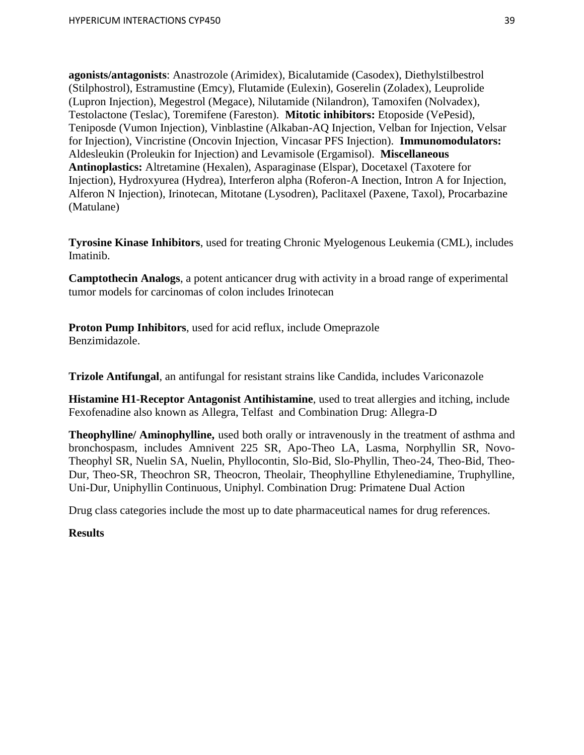**agonists/antagonists**: Anastrozole (Arimidex), Bicalutamide (Casodex), Diethylstilbestrol (Stilphostrol), Estramustine (Emcy), Flutamide (Eulexin), Goserelin (Zoladex), Leuprolide (Lupron Injection), Megestrol (Megace), Nilutamide (Nilandron), Tamoxifen (Nolvadex), Testolactone (Teslac), Toremifene (Fareston). **Mitotic inhibitors:** Etoposide (VePesid), Teniposde (Vumon Injection), Vinblastine (Alkaban-AQ Injection, Velban for Injection, Velsar for Injection), Vincristine (Oncovin Injection, Vincasar PFS Injection). **Immunomodulators:** Aldesleukin (Proleukin for Injection) and Levamisole (Ergamisol). **Miscellaneous Antinoplastics:** Altretamine (Hexalen), Asparaginase (Elspar), Docetaxel (Taxotere for Injection), Hydroxyurea (Hydrea), Interferon alpha (Roferon-A Inection, Intron A for Injection, Alferon N Injection), Irinotecan, Mitotane (Lysodren), Paclitaxel (Paxene, Taxol), Procarbazine (Matulane)

**Tyrosine Kinase Inhibitors**, used for treating Chronic Myelogenous Leukemia (CML), includes Imatinib.

**Camptothecin Analogs**, a potent anticancer drug with activity in a broad range of experimental tumor models for carcinomas of colon includes Irinotecan

**Proton Pump Inhibitors**, used for acid reflux, include Omeprazole Benzimidazole.

**Trizole Antifungal**, an antifungal for resistant strains like Candida, includes Variconazole

**Histamine H1-Receptor Antagonist Antihistamine**, used to treat allergies and itching, include Fexofenadine also known as Allegra, Telfast and Combination Drug: Allegra-D

**Theophylline/ Aminophylline,** used both orally or intravenously in the treatment of asthma and bronchospasm, includes Amnivent 225 SR, Apo-Theo LA, Lasma, Norphyllin SR, Novo-Theophyl SR, Nuelin SA, Nuelin, Phyllocontin, Slo-Bid, Slo-Phyllin, Theo-24, Theo-Bid, Theo-Dur, Theo-SR, Theochron SR, Theocron, Theolair, Theophylline Ethylenediamine, Truphylline, Uni-Dur, Uniphyllin Continuous, Uniphyl. Combination Drug: Primatene Dual Action

Drug class categories include the most up to date pharmaceutical names for drug references.

# **Results**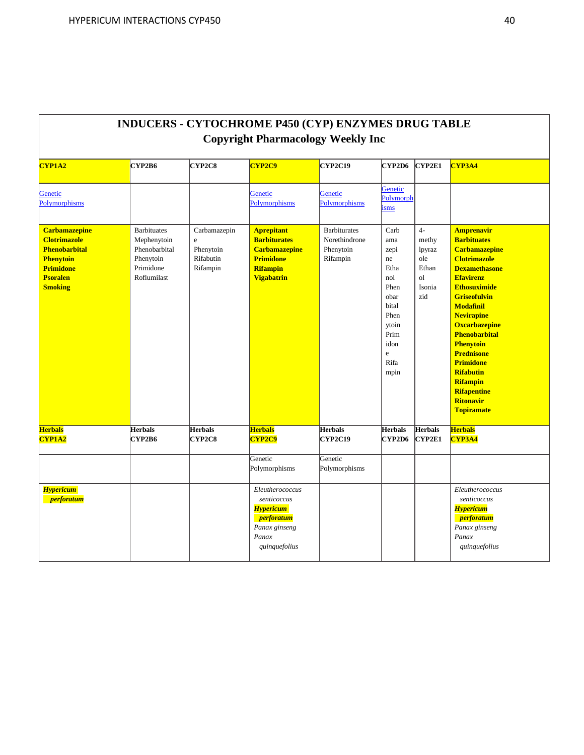| Copyright Pharmacology Weekly Inc                                                                                                                |                                                                                             |                                                               |                                                                                                                              |                                                               |                                                                                                                               |                                                                          |                                                                                                                                                                                                                                                                                                                                                                                                                                              |  |
|--------------------------------------------------------------------------------------------------------------------------------------------------|---------------------------------------------------------------------------------------------|---------------------------------------------------------------|------------------------------------------------------------------------------------------------------------------------------|---------------------------------------------------------------|-------------------------------------------------------------------------------------------------------------------------------|--------------------------------------------------------------------------|----------------------------------------------------------------------------------------------------------------------------------------------------------------------------------------------------------------------------------------------------------------------------------------------------------------------------------------------------------------------------------------------------------------------------------------------|--|
| <b>CYP1A2</b>                                                                                                                                    | CYP2B6                                                                                      | CYP2C8                                                        | CYP2C9                                                                                                                       | CYP2C19                                                       | CYP2D6                                                                                                                        | CYP2E1                                                                   | CYP3A4                                                                                                                                                                                                                                                                                                                                                                                                                                       |  |
| Genetic<br>Polymorphisms                                                                                                                         |                                                                                             |                                                               | Genetic<br>Polymorphisms                                                                                                     | Genetic<br>Polymorphisms                                      | Genetic<br>Polymorph<br>isms                                                                                                  |                                                                          |                                                                                                                                                                                                                                                                                                                                                                                                                                              |  |
| <b>Carbamazepine</b><br><b>Clotrimazole</b><br><b>Phenobarbital</b><br><b>Phenytoin</b><br><b>Primidone</b><br><b>Psoralen</b><br><b>Smoking</b> | <b>Barbituates</b><br>Mephenytoin<br>Phenobarbital<br>Phenytoin<br>Primidone<br>Roflumilast | Carbamazepin<br>$\rm e$<br>Phenytoin<br>Rifabutin<br>Rifampin | <b>Aprepitant</b><br><b>Barbiturates</b><br><b>Carbamazepine</b><br><b>Primidone</b><br><b>Rifampin</b><br><b>Vigabatrin</b> | <b>Barbiturates</b><br>Norethindrone<br>Phenytoin<br>Rifampin | Carb<br>ama<br>zepi<br>ne<br>Etha<br>nol<br>Phen<br>obar<br>bital<br>Phen<br>ytoin<br>Prim<br>idon<br>$\rm e$<br>Rifa<br>mpin | $4-$<br>methy<br>lpyraz<br>ole<br>Ethan<br><sub>o</sub><br>Isonia<br>zid | <b>Amprenavir</b><br><b>Barbituates</b><br><b>Carbamazepine</b><br><b>Clotrimazole</b><br><b>Dexamethasone</b><br><b>Efavirenz</b><br><b>Ethosuximide</b><br><b>Griseofulvin</b><br><b>Modafinil</b><br><b>Nevirapine</b><br><b>Oxcarbazepine</b><br><b>Phenobarbital</b><br><b>Phenytoin</b><br><b>Prednisone</b><br><b>Primidone</b><br><b>Rifabutin</b><br><b>Rifampin</b><br><b>Rifapentine</b><br><b>Ritonavir</b><br><b>Topiramate</b> |  |
| <b>Herbals</b><br><b>CYP1A2</b>                                                                                                                  | <b>Herbals</b><br>CYP2B6                                                                    | <b>Herbals</b><br>CYP2C8                                      | <b>Herbals</b><br><b>CYP2C9</b>                                                                                              | <b>Herbals</b><br><b>CYP2C19</b>                              | <b>Herbals</b><br>CYP2D6                                                                                                      | <b>Herbals</b><br>CYP2E1                                                 | <b>Herbals</b><br>CYP3A4                                                                                                                                                                                                                                                                                                                                                                                                                     |  |
|                                                                                                                                                  |                                                                                             |                                                               | Genetic<br>Polymorphisms                                                                                                     | Genetic<br>Polymorphisms                                      |                                                                                                                               |                                                                          |                                                                                                                                                                                                                                                                                                                                                                                                                                              |  |
| <b>Hypericum</b><br><i>perforatum</i>                                                                                                            |                                                                                             |                                                               | Eleutherococcus<br>senticoccus<br><b>Hypericum</b><br><i>perforatum</i><br>Panax ginseng<br>Panax<br>quinquefolius           |                                                               |                                                                                                                               |                                                                          | Eleutherococcus<br>senticoccus<br><b>Hypericum</b><br><i>perforatum</i><br>Panax ginseng<br>Panax<br>quinquefolius                                                                                                                                                                                                                                                                                                                           |  |

# **INDUCERS - CYTOCHROME P450 (CYP) ENZYMES DRUG TABLE Copyright Pharmacology Weekly Inc**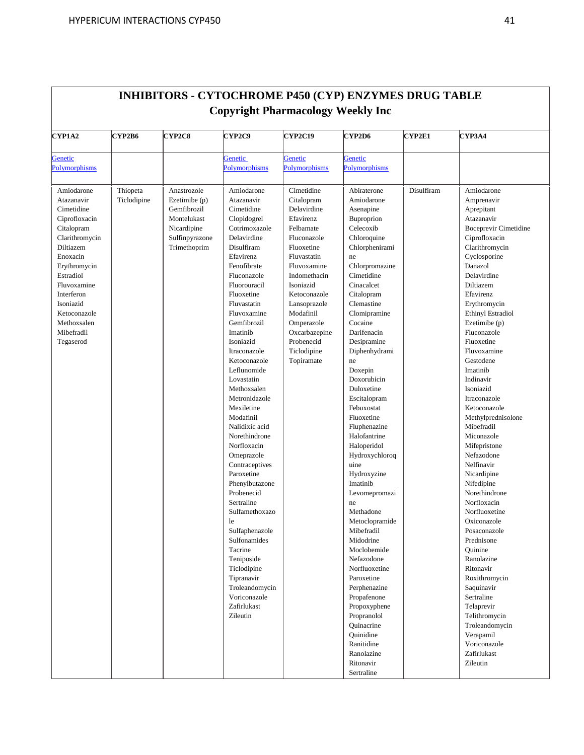| CYP1A2                                                                                                                                                                                                                                            | <b>CYP2B6</b>           | <b>CYP2C8</b>                                                                                               | CYP2C9                                                                                                                                                                                                                                                                                                                                                                                                                                                                                                                                                                                                                                                                                                | <b>CYP2C19</b>                                                                                                                                                                                                                                                                   | CYP2D6                                                                                                                                                                                                                                                                                                                                                                                                                                                                                                                                                                                                                                                                                                         | <b>CYP2E1</b> | <b>CYP3A4</b>                                                                                                                                                                                                                                                                                                                                                                                                                                                                                                                                                                                                                                                                                                                                                              |
|---------------------------------------------------------------------------------------------------------------------------------------------------------------------------------------------------------------------------------------------------|-------------------------|-------------------------------------------------------------------------------------------------------------|-------------------------------------------------------------------------------------------------------------------------------------------------------------------------------------------------------------------------------------------------------------------------------------------------------------------------------------------------------------------------------------------------------------------------------------------------------------------------------------------------------------------------------------------------------------------------------------------------------------------------------------------------------------------------------------------------------|----------------------------------------------------------------------------------------------------------------------------------------------------------------------------------------------------------------------------------------------------------------------------------|----------------------------------------------------------------------------------------------------------------------------------------------------------------------------------------------------------------------------------------------------------------------------------------------------------------------------------------------------------------------------------------------------------------------------------------------------------------------------------------------------------------------------------------------------------------------------------------------------------------------------------------------------------------------------------------------------------------|---------------|----------------------------------------------------------------------------------------------------------------------------------------------------------------------------------------------------------------------------------------------------------------------------------------------------------------------------------------------------------------------------------------------------------------------------------------------------------------------------------------------------------------------------------------------------------------------------------------------------------------------------------------------------------------------------------------------------------------------------------------------------------------------------|
| Genetic                                                                                                                                                                                                                                           |                         |                                                                                                             | Genetic                                                                                                                                                                                                                                                                                                                                                                                                                                                                                                                                                                                                                                                                                               | Genetic                                                                                                                                                                                                                                                                          | Genetic                                                                                                                                                                                                                                                                                                                                                                                                                                                                                                                                                                                                                                                                                                        |               |                                                                                                                                                                                                                                                                                                                                                                                                                                                                                                                                                                                                                                                                                                                                                                            |
| <b>Polymorphisms</b>                                                                                                                                                                                                                              |                         |                                                                                                             | Polymorphisms                                                                                                                                                                                                                                                                                                                                                                                                                                                                                                                                                                                                                                                                                         | Polymorphisms                                                                                                                                                                                                                                                                    | Polymorphisms                                                                                                                                                                                                                                                                                                                                                                                                                                                                                                                                                                                                                                                                                                  |               |                                                                                                                                                                                                                                                                                                                                                                                                                                                                                                                                                                                                                                                                                                                                                                            |
| Amiodarone<br>Atazanavir<br>Cimetidine<br>Ciprofloxacin<br>Citalopram<br>Clarithromycin<br>Diltiazem<br>Enoxacin<br>Erythromycin<br>Estradiol<br>Fluvoxamine<br>Interferon<br>Isoniazid<br>Ketoconazole<br>Methoxsalen<br>Mibefradil<br>Tegaserod | Thiopeta<br>Ticlodipine | Anastrozole<br>Ezetimibe (p)<br>Gemfibrozil<br>Montelukast<br>Nicardipine<br>Sulfinpyrazone<br>Trimethoprim | Amiodarone<br>Atazanavir<br>Cimetidine<br>Clopidogrel<br>Cotrimoxazole<br>Delavirdine<br>Disulfiram<br>Efavirenz<br>Fenofibrate<br>Fluconazole<br>Fluorouracil<br>Fluoxetine<br>Fluvastatin<br>Fluvoxamine<br>Gemfibrozil<br>Imatinih<br>Isoniazid<br>Itraconazole<br>Ketoconazole<br>Leflunomide<br>Lovastatin<br>Methoxsalen<br>Metronidazole<br>Mexiletine<br>Modafinil<br>Nalidixic acid<br>Norethindrone<br>Norfloxacin<br>Omeprazole<br>Contraceptives<br>Paroxetine<br>Phenylbutazone<br>Probenecid<br>Sertraline<br>Sulfamethoxazo<br>le<br>Sulfaphenazole<br>Sulfonamides<br>Tacrine<br>Teniposide<br>Ticlodipine<br>Tipranavir<br>Troleandomycin<br>Voriconazole<br>Zafirlukast<br>Zileutin | Cimetidine<br>Citalopram<br>Delavirdine<br>Efavirenz<br>Felbamate<br>Fluconazole<br>Fluoxetine<br>Fluvastatin<br>Fluvoxamine<br>Indomethacin<br>Isoniazid<br>Ketoconazole<br>Lansoprazole<br>Modafinil<br>Omperazole<br>Oxcarbazepine<br>Probenecid<br>Ticlodipine<br>Topiramate | Abiraterone<br>Amiodarone<br>Asenapine<br>Buproprion<br>Celecoxib<br>Chloroquine<br>Chlorphenirami<br>ne<br>Chlorpromazine<br>Cimetidine<br>Cinacalcet<br>Citalopram<br>Clemastine<br>Clomipramine<br>Cocaine<br>Darifenacin<br>Desipramine<br>Diphenhydrami<br>ne<br>Doxepin<br>Doxorubicin<br>Duloxetine<br>Escitalopram<br>Febuxostat<br>Fluoxetine<br>Fluphenazine<br>Halofantrine<br>Haloperidol<br>Hydroxychloroq<br>uine<br>Hydroxyzine<br>Imatinib<br>Levomepromazi<br>ne<br>Methadone<br>Metoclopramide<br>Mibefradil<br>Midodrine<br>Moclobemide<br>Nefazodone<br>Norfluoxetine<br>Paroxetine<br>Perphenazine<br>Propafenone<br>Propoxyphene<br>Propranolol<br>Quinacrine<br>Quinidine<br>Ranitidine | Disulfiram    | Amiodarone<br>Amprenavir<br>Aprepitant<br>Atazanavir<br><b>Boceprevir Cimetidine</b><br>Ciprofloxacin<br>Clarithromycin<br>Cyclosporine<br>Danazol<br>Delavirdine<br>Diltiazem<br>Efavirenz<br>Erythromycin<br>Ethinyl Estradiol<br>Ezetimibe (p)<br>Fluconazole<br>Fluoxetine<br>Fluvoxamine<br>Gestodene<br>Imatinib<br>Indinavir<br>Isoniazid<br>Itraconazole<br>Ketoconazole<br>Methylprednisolone<br>Mibefradil<br>Miconazole<br>Mifepristone<br>Nefazodone<br>Nelfinavir<br>Nicardipine<br>Nifedipine<br>Norethindrone<br>Norfloxacin<br>Norfluoxetine<br>Oxiconazole<br>Posaconazole<br>Prednisone<br>Ouinine<br>Ranolazine<br>Ritonavir<br>Roxithromycin<br>Saquinavir<br>Sertraline<br>Telaprevir<br>Telithromycin<br>Troleandomycin<br>Verapamil<br>Voriconazole |

# **INHIBITORS - CYTOCHROME P450 (CYP) ENZYMES DRUG TABLE**